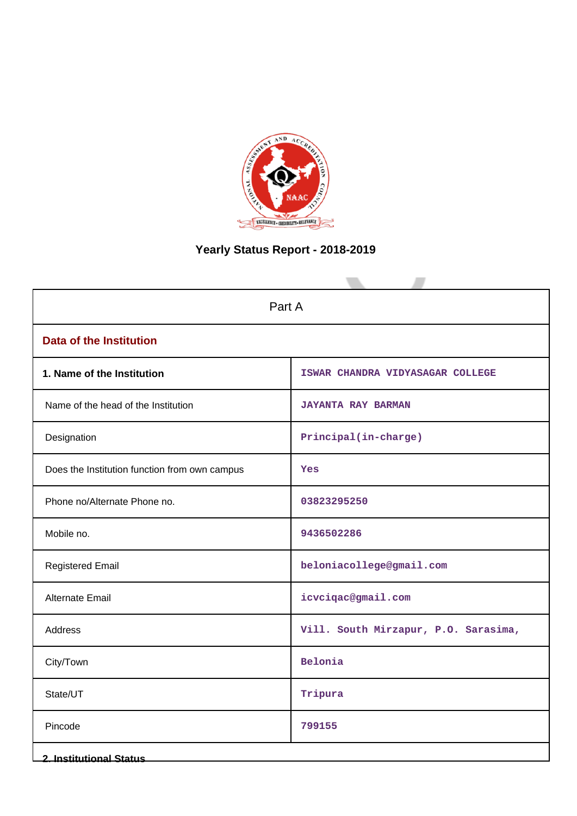

# **Yearly Status Report - 2018-2019**

| Part A                                        |                                      |
|-----------------------------------------------|--------------------------------------|
| <b>Data of the Institution</b>                |                                      |
| 1. Name of the Institution                    | ISWAR CHANDRA VIDYASAGAR COLLEGE     |
| Name of the head of the Institution           | <b>JAYANTA RAY BARMAN</b>            |
| Designation                                   | Principal(in-charge)                 |
| Does the Institution function from own campus | Yes                                  |
| Phone no/Alternate Phone no.                  | 03823295250                          |
| Mobile no.                                    | 9436502286                           |
| <b>Registered Email</b>                       | beloniacollege@gmail.com             |
| Alternate Email                               | icvciqac@gmail.com                   |
| <b>Address</b>                                | Vill. South Mirzapur, P.O. Sarasima, |
| City/Town                                     | Belonia                              |
| State/UT                                      | Tripura                              |
| Pincode                                       | 799155                               |
| <b>2. Institutional Status</b>                |                                      |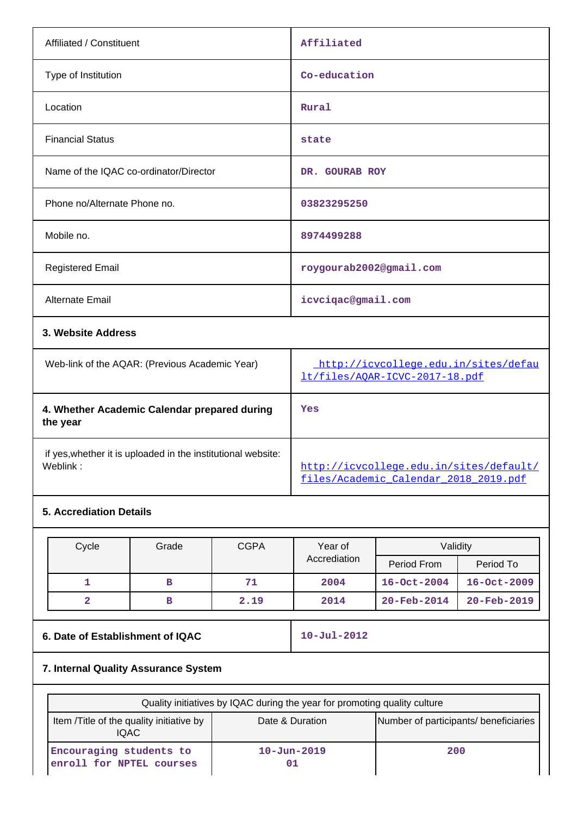| Affiliated / Constituent                       | Affiliated                                                             |  |
|------------------------------------------------|------------------------------------------------------------------------|--|
| Type of Institution                            | Co-education                                                           |  |
| Location                                       | Rural                                                                  |  |
| <b>Financial Status</b>                        | state                                                                  |  |
| Name of the IQAC co-ordinator/Director         | DR. GOURAB ROY                                                         |  |
| Phone no/Alternate Phone no.                   | 03823295250                                                            |  |
| Mobile no.                                     | 8974499288                                                             |  |
| <b>Registered Email</b>                        | roygourab2002@gmail.com                                                |  |
| Alternate Email                                | icvcigac@gmail.com                                                     |  |
| 3. Website Address                             |                                                                        |  |
| Web-link of the AQAR: (Previous Academic Year) | http://icvcollege.edu.in/sites/defau<br>lt/files/AQAR-ICVC-2017-18.pdf |  |

| 4. Whether Academic Calendar prepared during<br>the year     | Yes                                     |
|--------------------------------------------------------------|-----------------------------------------|
| if yes, whether it is uploaded in the institutional website: | http://icvcollege.edu.in/sites/default/ |
| Weblink:                                                     | files/Academic Calendar 2018 2019.pdf   |

# **5. Accrediation Details**

| Cycle | Grade | <b>CGPA</b> | Year of      | Validity                 |                          |
|-------|-------|-------------|--------------|--------------------------|--------------------------|
|       |       |             | Accrediation | Period From              | Period To                |
|       | в     | 71          | 2004         | $16 - Oct - 2004$        | $16 - Oct - 2009$        |
|       | в     | 2.19        | 2014         | $20 - \text{Feb} - 2014$ | $20 - \text{Feb} - 2019$ |

| 6. Date of Establishment of IQAC |  |
|----------------------------------|--|
|----------------------------------|--|

**6. Date of Establishment of IQAC 10-Jul-2012**

# **7. Internal Quality Assurance System**

| Quality initiatives by IQAC during the year for promoting quality culture |                         |                                       |
|---------------------------------------------------------------------------|-------------------------|---------------------------------------|
| Item /Title of the quality initiative by<br><b>IQAC</b>                   | Date & Duration         | Number of participants/ beneficiaries |
| Encouraging students to<br>enroll for NPTEL courses                       | $10 - Jun - 2019$<br>01 | 200                                   |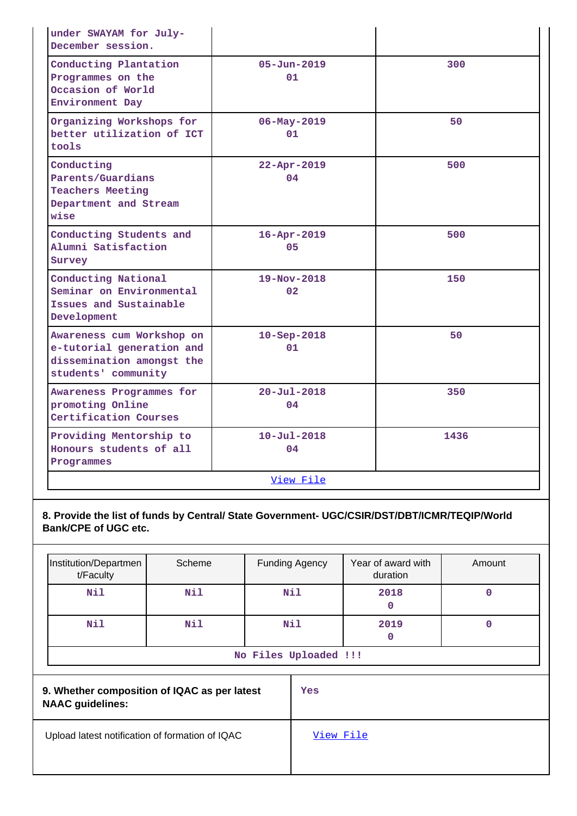| under SWAYAM for July-<br>December session.                                                                |                         |      |
|------------------------------------------------------------------------------------------------------------|-------------------------|------|
| Conducting Plantation<br>Programmes on the<br>Occasion of World<br>Environment Day                         | $05 - Jun - 2019$<br>01 | 300  |
| Organizing Workshops for<br>better utilization of ICT<br>tools                                             | $06 - May - 2019$<br>01 | 50   |
| Conducting<br>Parents/Guardians<br><b>Teachers Meeting</b><br>Department and Stream<br>wise                | $22 - Apr - 2019$<br>04 | 500  |
| Conducting Students and<br>Alumni Satisfaction<br>Survey                                                   | $16 - Apr - 2019$<br>05 | 500  |
| Conducting National<br>Seminar on Environmental<br>Issues and Sustainable<br>Development                   | $19 - Nov - 2018$<br>02 | 150  |
| Awareness cum Workshop on<br>e-tutorial generation and<br>dissemination amongst the<br>students' community | $10 - Sep - 2018$<br>01 | 50   |
| Awareness Programmes for<br>promoting Online<br>Certification Courses                                      | $20 - Ju1 - 2018$<br>04 | 350  |
| Providing Mentorship to<br>Honours students of all<br>Programmes                                           | $10 - Ju1 - 2018$<br>04 | 1436 |
|                                                                                                            | View File               |      |

**8. Provide the list of funds by Central/ State Government- UGC/CSIR/DST/DBT/ICMR/TEQIP/World Bank/CPE of UGC etc.**

| Institution/Departmen<br>t/Faculty | Scheme | <b>Funding Agency</b> | Year of award with<br>duration | Amount |
|------------------------------------|--------|-----------------------|--------------------------------|--------|
| Nil                                | Nil    | Nil                   | 2018<br>0                      |        |
| Nil                                | Nil    | Nil                   | 2019<br>0                      |        |
| No Files Uploaded !!!              |        |                       |                                |        |

| 9. Whether composition of IQAC as per latest<br><b>NAAC guidelines:</b> | Yes       |
|-------------------------------------------------------------------------|-----------|
| Upload latest notification of formation of IQAC                         | View File |
|                                                                         |           |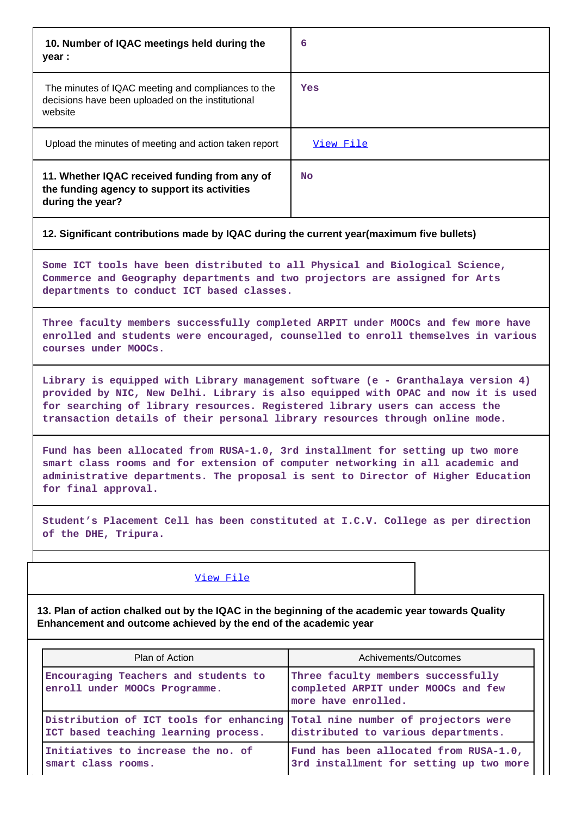| 10. Number of IQAC meetings held during the<br>year :                                                              | 6         |
|--------------------------------------------------------------------------------------------------------------------|-----------|
| The minutes of IQAC meeting and compliances to the<br>decisions have been uploaded on the institutional<br>website | Yes       |
| Upload the minutes of meeting and action taken report                                                              | View File |
| 11. Whether IQAC received funding from any of<br>the funding agency to support its activities<br>during the year?  | No.       |

### **12. Significant contributions made by IQAC during the current year(maximum five bullets)**

**Some ICT tools have been distributed to all Physical and Biological Science, Commerce and Geography departments and two projectors are assigned for Arts departments to conduct ICT based classes.**

**Three faculty members successfully completed ARPIT under MOOCs and few more have enrolled and students were encouraged, counselled to enroll themselves in various courses under MOOCs.**

**Library is equipped with Library management software (e - Granthalaya version 4) provided by NIC, New Delhi. Library is also equipped with OPAC and now it is used for searching of library resources. Registered library users can access the transaction details of their personal library resources through online mode.**

**Fund has been allocated from RUSA-1.0, 3rd installment for setting up two more smart class rooms and for extension of computer networking in all academic and administrative departments. The proposal is sent to Director of Higher Education for final approval.**

**Student's Placement Cell has been constituted at I.C.V. College as per direction of the DHE, Tripura.**

#### [View File](https://assessmentonline.naac.gov.in/public/Postacc/Contribution/9938_Contribution.xlsx)

**13. Plan of action chalked out by the IQAC in the beginning of the academic year towards Quality Enhancement and outcome achieved by the end of the academic year**

| Plan of Action                                                                                                       | Achivements/Outcomes                                                                             |
|----------------------------------------------------------------------------------------------------------------------|--------------------------------------------------------------------------------------------------|
| Encouraging Teachers and students to<br>enroll under MOOCs Programme.                                                | Three faculty members successfully<br>completed ARPIT under MOOCs and few<br>more have enrolled. |
| Distribution of ICT tools for enhancing Total nine number of projectors were<br>ICT based teaching learning process. | distributed to various departments.                                                              |
| Initiatives to increase the no. of<br>smart class rooms.                                                             | Fund has been allocated from RUSA-1.0,<br>3rd installment for setting up two more                |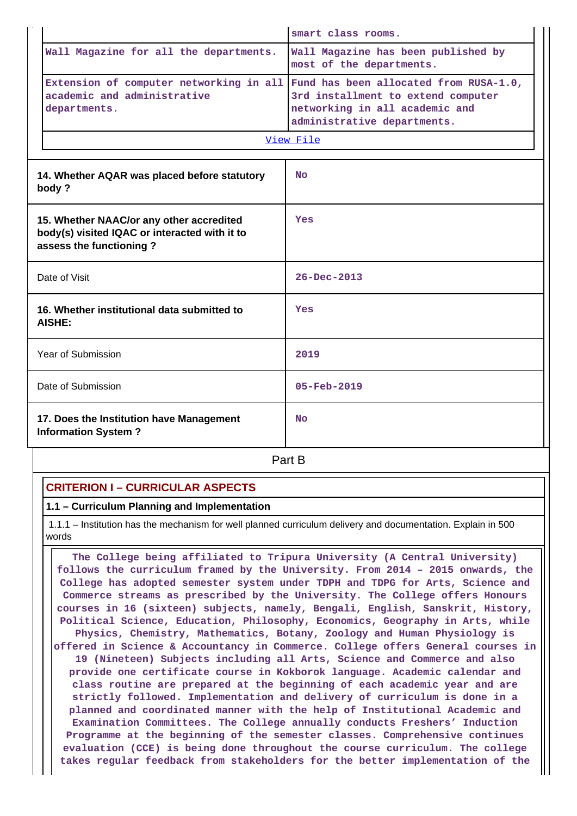|                                                                                                                      | smart class rooms.                                                                                                                            |
|----------------------------------------------------------------------------------------------------------------------|-----------------------------------------------------------------------------------------------------------------------------------------------|
| Wall Magazine for all the departments.                                                                               | Wall Magazine has been published by<br>most of the departments.                                                                               |
| Extension of computer networking in all<br>academic and administrative<br>departments.                               | Fund has been allocated from RUSA-1.0,<br>3rd installment to extend computer<br>networking in all academic and<br>administrative departments. |
|                                                                                                                      | View File                                                                                                                                     |
| 14. Whether AQAR was placed before statutory<br>body?                                                                | <b>No</b>                                                                                                                                     |
| 15. Whether NAAC/or any other accredited<br>body(s) visited IQAC or interacted with it to<br>assess the functioning? | Yes                                                                                                                                           |
| Date of Visit                                                                                                        | $26 - Dec - 2013$                                                                                                                             |
| 16. Whether institutional data submitted to<br>AISHE:                                                                | Yes                                                                                                                                           |
| Year of Submission                                                                                                   | 2019                                                                                                                                          |
| Date of Submission                                                                                                   | $05 - Feb - 2019$                                                                                                                             |
| 17. Does the Institution have Management<br><b>Information System?</b>                                               | <b>No</b>                                                                                                                                     |
|                                                                                                                      | Part B                                                                                                                                        |

# **CRITERION I – CURRICULAR ASPECTS**

**1.1 – Curriculum Planning and Implementation**

 1.1.1 – Institution has the mechanism for well planned curriculum delivery and documentation. Explain in 500 words

 **The College being affiliated to Tripura University (A Central University) follows the curriculum framed by the University. From 2014 – 2015 onwards, the College has adopted semester system under TDPH and TDPG for Arts, Science and Commerce streams as prescribed by the University. The College offers Honours courses in 16 (sixteen) subjects, namely, Bengali, English, Sanskrit, History, Political Science, Education, Philosophy, Economics, Geography in Arts, while Physics, Chemistry, Mathematics, Botany, Zoology and Human Physiology is offered in Science & Accountancy in Commerce. College offers General courses in 19 (Nineteen) Subjects including all Arts, Science and Commerce and also provide one certificate course in Kokborok language. Academic calendar and class routine are prepared at the beginning of each academic year and are strictly followed. Implementation and delivery of curriculum is done in a planned and coordinated manner with the help of Institutional Academic and Examination Committees. The College annually conducts Freshers' Induction Programme at the beginning of the semester classes. Comprehensive continues evaluation (CCE) is being done throughout the course curriculum. The college takes regular feedback from stakeholders for the better implementation of the**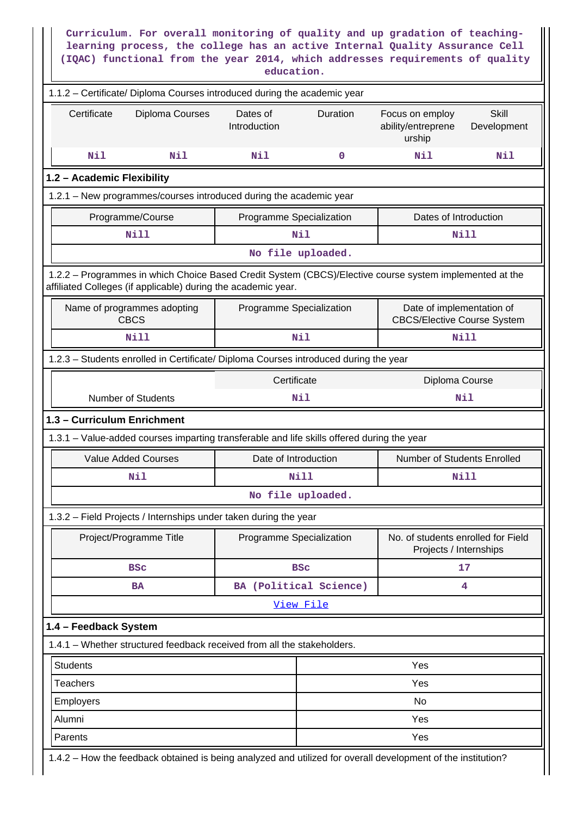|                             |                                                                                            | education.               |                        | Curriculum. For overall monitoring of quality and up gradation of teaching-<br>learning process, the college has an active Internal Quality Assurance Cell<br>(IQAC) functional from the year 2014, which addresses requirements of quality |                             |
|-----------------------------|--------------------------------------------------------------------------------------------|--------------------------|------------------------|---------------------------------------------------------------------------------------------------------------------------------------------------------------------------------------------------------------------------------------------|-----------------------------|
|                             | 1.1.2 - Certificate/ Diploma Courses introduced during the academic year                   |                          |                        |                                                                                                                                                                                                                                             |                             |
| Certificate                 | Diploma Courses                                                                            | Dates of<br>Introduction | Duration               | Focus on employ<br>ability/entreprene<br>urship                                                                                                                                                                                             | <b>Skill</b><br>Development |
| Nil                         | Nil                                                                                        | Nil                      | 0                      | Nil                                                                                                                                                                                                                                         | Nil                         |
| 1.2 - Academic Flexibility  |                                                                                            |                          |                        |                                                                                                                                                                                                                                             |                             |
|                             | 1.2.1 - New programmes/courses introduced during the academic year                         |                          |                        |                                                                                                                                                                                                                                             |                             |
|                             | Programme/Course                                                                           | Programme Specialization |                        | Dates of Introduction                                                                                                                                                                                                                       |                             |
|                             | <b>Nill</b>                                                                                |                          | Nil                    | Nill                                                                                                                                                                                                                                        |                             |
|                             |                                                                                            |                          | No file uploaded.      |                                                                                                                                                                                                                                             |                             |
|                             | affiliated Colleges (if applicable) during the academic year.                              |                          |                        | 1.2.2 - Programmes in which Choice Based Credit System (CBCS)/Elective course system implemented at the                                                                                                                                     |                             |
|                             | Name of programmes adopting<br><b>CBCS</b>                                                 | Programme Specialization |                        | Date of implementation of<br><b>CBCS/Elective Course System</b>                                                                                                                                                                             |                             |
|                             | <b>Nill</b>                                                                                |                          | Nil                    | <b>Nill</b>                                                                                                                                                                                                                                 |                             |
|                             | 1.2.3 - Students enrolled in Certificate/ Diploma Courses introduced during the year       |                          |                        |                                                                                                                                                                                                                                             |                             |
|                             |                                                                                            | Certificate              |                        | Diploma Course                                                                                                                                                                                                                              |                             |
|                             | <b>Number of Students</b>                                                                  |                          | Nil                    | Nil                                                                                                                                                                                                                                         |                             |
| 1.3 - Curriculum Enrichment |                                                                                            |                          |                        |                                                                                                                                                                                                                                             |                             |
|                             | 1.3.1 – Value-added courses imparting transferable and life skills offered during the year |                          |                        |                                                                                                                                                                                                                                             |                             |
|                             | Value Added Courses                                                                        | Date of Introduction     |                        | Number of Students Enrolled                                                                                                                                                                                                                 |                             |
|                             | Nil                                                                                        |                          | <b>Nill</b>            | <b>Nill</b>                                                                                                                                                                                                                                 |                             |
|                             |                                                                                            |                          | No file uploaded.      |                                                                                                                                                                                                                                             |                             |
|                             | 1.3.2 - Field Projects / Internships under taken during the year                           |                          |                        |                                                                                                                                                                                                                                             |                             |
|                             | Project/Programme Title                                                                    | Programme Specialization |                        | No. of students enrolled for Field<br>Projects / Internships                                                                                                                                                                                |                             |
|                             | <b>BSC</b>                                                                                 |                          | <b>BSC</b>             | 17                                                                                                                                                                                                                                          |                             |
|                             | <b>BA</b>                                                                                  |                          | BA (Political Science) |                                                                                                                                                                                                                                             | 4                           |
|                             |                                                                                            |                          | View File              |                                                                                                                                                                                                                                             |                             |
| 1.4 - Feedback System       |                                                                                            |                          |                        |                                                                                                                                                                                                                                             |                             |
|                             | 1.4.1 - Whether structured feedback received from all the stakeholders.                    |                          |                        |                                                                                                                                                                                                                                             |                             |
| <b>Students</b>             |                                                                                            |                          |                        | Yes                                                                                                                                                                                                                                         |                             |
| <b>Teachers</b>             |                                                                                            |                          |                        | Yes                                                                                                                                                                                                                                         |                             |
| Employers                   |                                                                                            |                          |                        | No                                                                                                                                                                                                                                          |                             |
| Alumni                      |                                                                                            |                          |                        | Yes                                                                                                                                                                                                                                         |                             |
| Parents                     |                                                                                            |                          |                        | Yes                                                                                                                                                                                                                                         |                             |
|                             |                                                                                            |                          |                        | 1.4.2 - How the feedback obtained is being analyzed and utilized for overall development of the institution?                                                                                                                                |                             |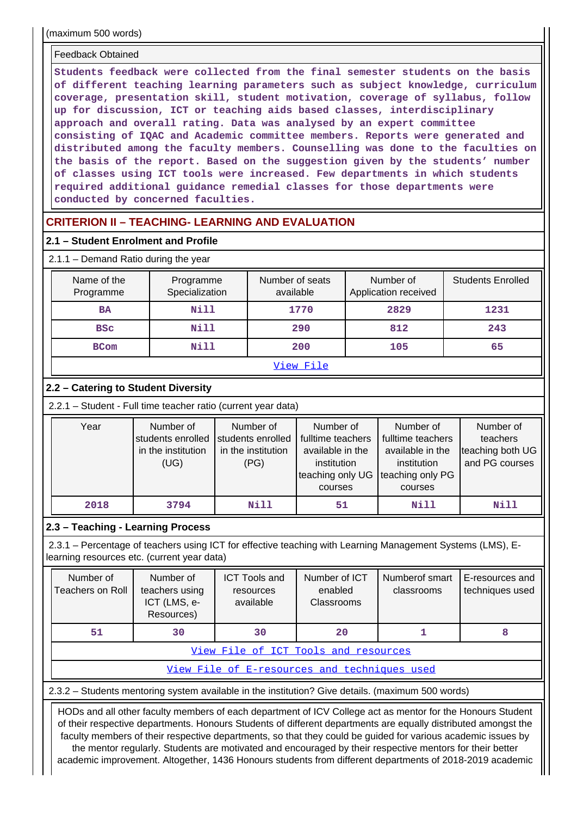(maximum 500 words)

#### Feedback Obtained

**Students feedback were collected from the final semester students on the basis of different teaching learning parameters such as subject knowledge, curriculum coverage, presentation skill, student motivation, coverage of syllabus, follow up for discussion, ICT or teaching aids based classes, interdisciplinary approach and overall rating. Data was analysed by an expert committee consisting of IQAC and Academic committee members. Reports were generated and distributed among the faculty members. Counselling was done to the faculties on the basis of the report. Based on the suggestion given by the students' number of classes using ICT tools were increased. Few departments in which students required additional guidance remedial classes for those departments were conducted by concerned faculties.**

# **CRITERION II – TEACHING- LEARNING AND EVALUATION**

# **2.1 – Student Enrolment and Profile**

# 2.1.1 – Demand Ratio during the year

| Name of the<br>Programme | Programme<br>Specialization | Number of seats<br>available | Number of<br>Application received | <b>Students Enrolled</b> |
|--------------------------|-----------------------------|------------------------------|-----------------------------------|--------------------------|
| <b>BA</b>                | Nill                        | 1770                         | 2829                              | 1231                     |
| <b>BSC</b>               | Nill                        | 290                          | 812                               | 243                      |
| <b>BCom</b>              | Nill                        | 200                          | 105                               | 65                       |
|                          |                             | -- -<br>- - -                |                                   |                          |

#### [View File](https://assessmentonline.naac.gov.in/public/Postacc/Demand_ratio/9938_Demand_ratio_1617805550.xlsx)

# **2.2 – Catering to Student Diversity**

| Year | Number of<br>students enrolled<br>in the institution<br>(UG) | Number of<br>students enrolled<br>in the institution<br>(PG) | Number of<br>fulltime teachers<br>available in the<br>institution<br>teaching only UG Iteaching only PG<br>courses | Number of<br>fulltime teachers<br>available in the<br>institution<br>courses | Number of<br>teachers<br>teaching both UG<br>and PG courses |
|------|--------------------------------------------------------------|--------------------------------------------------------------|--------------------------------------------------------------------------------------------------------------------|------------------------------------------------------------------------------|-------------------------------------------------------------|
| 2018 | 3794                                                         | Nill                                                         | 51                                                                                                                 | Nill                                                                         | Nill                                                        |

# **2.3 – Teaching - Learning Process**

 2.3.1 – Percentage of teachers using ICT for effective teaching with Learning Management Systems (LMS), Elearning resources etc. (current year data)

| Number of<br>Teachers on Roll | Number of<br>teachers using<br>ICT (LMS, e-<br>Resources) | <b>ICT Tools and</b><br>resources<br>available | Number of ICT<br>enabled<br>Classrooms | Numberof smart<br>classrooms | E-resources and<br>techniques used |
|-------------------------------|-----------------------------------------------------------|------------------------------------------------|----------------------------------------|------------------------------|------------------------------------|
| 51                            | 30                                                        | 30                                             | 20                                     |                              |                                    |
|                               |                                                           |                                                | View File of ICT Tools and resources   |                              |                                    |

[View File of E-resources and techniques used](https://assessmentonline.naac.gov.in/public/Postacc/e_resource/9938_e_resource_1618190018.xlsx)

2.3.2 – Students mentoring system available in the institution? Give details. (maximum 500 words)

 HODs and all other faculty members of each department of ICV College act as mentor for the Honours Student of their respective departments. Honours Students of different departments are equally distributed amongst the faculty members of their respective departments, so that they could be guided for various academic issues by the mentor regularly. Students are motivated and encouraged by their respective mentors for their better

academic improvement. Altogether, 1436 Honours students from different departments of 2018-2019 academic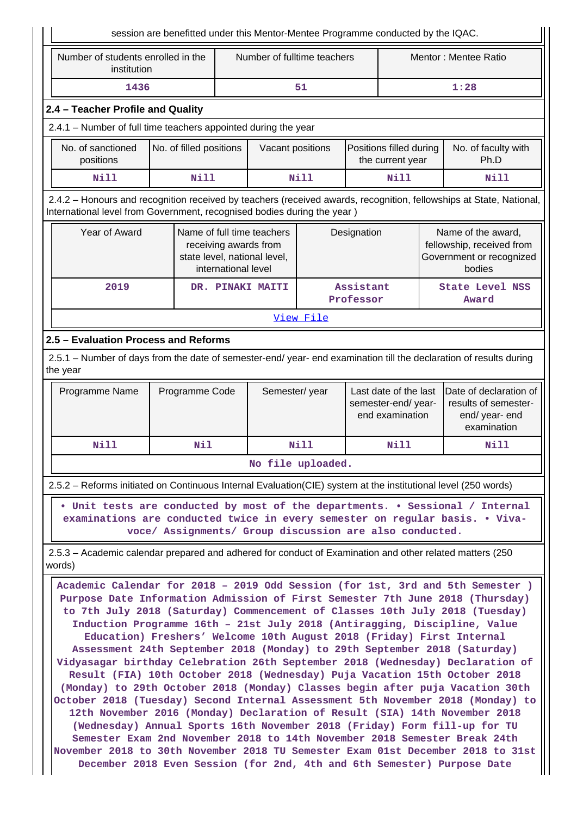|                                                                                                                    |                         |                     |                                                                                     |           | session are benefitted under this Mentor-Mentee Programme conducted by the IQAC. |                                                                                                                                                                                                                                                                                                                                                                                                                                                                                                                                                                                                                                                                                                                                                                                                                                                                                                                                                                                                                                                                                                                                                     |
|--------------------------------------------------------------------------------------------------------------------|-------------------------|---------------------|-------------------------------------------------------------------------------------|-----------|----------------------------------------------------------------------------------|-----------------------------------------------------------------------------------------------------------------------------------------------------------------------------------------------------------------------------------------------------------------------------------------------------------------------------------------------------------------------------------------------------------------------------------------------------------------------------------------------------------------------------------------------------------------------------------------------------------------------------------------------------------------------------------------------------------------------------------------------------------------------------------------------------------------------------------------------------------------------------------------------------------------------------------------------------------------------------------------------------------------------------------------------------------------------------------------------------------------------------------------------------|
| Number of students enrolled in the<br>institution                                                                  |                         |                     | Number of fulltime teachers                                                         |           |                                                                                  | Mentor: Mentee Ratio                                                                                                                                                                                                                                                                                                                                                                                                                                                                                                                                                                                                                                                                                                                                                                                                                                                                                                                                                                                                                                                                                                                                |
| 1436                                                                                                               |                         |                     |                                                                                     | 51        |                                                                                  | 1:28                                                                                                                                                                                                                                                                                                                                                                                                                                                                                                                                                                                                                                                                                                                                                                                                                                                                                                                                                                                                                                                                                                                                                |
| 2.4 - Teacher Profile and Quality                                                                                  |                         |                     |                                                                                     |           |                                                                                  |                                                                                                                                                                                                                                                                                                                                                                                                                                                                                                                                                                                                                                                                                                                                                                                                                                                                                                                                                                                                                                                                                                                                                     |
| 2.4.1 - Number of full time teachers appointed during the year                                                     |                         |                     |                                                                                     |           |                                                                                  |                                                                                                                                                                                                                                                                                                                                                                                                                                                                                                                                                                                                                                                                                                                                                                                                                                                                                                                                                                                                                                                                                                                                                     |
| No. of sanctioned<br>positions                                                                                     | No. of filled positions |                     | Vacant positions                                                                    |           | Positions filled during<br>the current year                                      | No. of faculty with<br>Ph.D                                                                                                                                                                                                                                                                                                                                                                                                                                                                                                                                                                                                                                                                                                                                                                                                                                                                                                                                                                                                                                                                                                                         |
| <b>Nill</b>                                                                                                        | <b>Nill</b>             |                     |                                                                                     | Nill      | <b>Nill</b>                                                                      | Nill                                                                                                                                                                                                                                                                                                                                                                                                                                                                                                                                                                                                                                                                                                                                                                                                                                                                                                                                                                                                                                                                                                                                                |
| International level from Government, recognised bodies during the year)                                            |                         |                     |                                                                                     |           |                                                                                  | 2.4.2 - Honours and recognition received by teachers (received awards, recognition, fellowships at State, National,                                                                                                                                                                                                                                                                                                                                                                                                                                                                                                                                                                                                                                                                                                                                                                                                                                                                                                                                                                                                                                 |
| Year of Award                                                                                                      |                         | international level | Name of full time teachers<br>receiving awards from<br>state level, national level, |           | Designation                                                                      | Name of the award,<br>fellowship, received from<br>Government or recognized<br>bodies                                                                                                                                                                                                                                                                                                                                                                                                                                                                                                                                                                                                                                                                                                                                                                                                                                                                                                                                                                                                                                                               |
| 2019                                                                                                               |                         |                     | DR. PINAKI MAITI                                                                    |           | Assistant<br>Professor                                                           | <b>State Level NSS</b><br>Award                                                                                                                                                                                                                                                                                                                                                                                                                                                                                                                                                                                                                                                                                                                                                                                                                                                                                                                                                                                                                                                                                                                     |
|                                                                                                                    |                         |                     |                                                                                     | View File |                                                                                  |                                                                                                                                                                                                                                                                                                                                                                                                                                                                                                                                                                                                                                                                                                                                                                                                                                                                                                                                                                                                                                                                                                                                                     |
| 2.5 - Evaluation Process and Reforms                                                                               |                         |                     |                                                                                     |           |                                                                                  |                                                                                                                                                                                                                                                                                                                                                                                                                                                                                                                                                                                                                                                                                                                                                                                                                                                                                                                                                                                                                                                                                                                                                     |
| the year                                                                                                           |                         |                     |                                                                                     |           |                                                                                  | 2.5.1 - Number of days from the date of semester-end/ year- end examination till the declaration of results during                                                                                                                                                                                                                                                                                                                                                                                                                                                                                                                                                                                                                                                                                                                                                                                                                                                                                                                                                                                                                                  |
| Programme Name                                                                                                     | Programme Code          |                     | Semester/year                                                                       |           | Last date of the last<br>semester-end/year-<br>end examination                   | Date of declaration of<br>results of semester-<br>end/ year- end<br>examination                                                                                                                                                                                                                                                                                                                                                                                                                                                                                                                                                                                                                                                                                                                                                                                                                                                                                                                                                                                                                                                                     |
| <b>Nill</b>                                                                                                        | Nil                     |                     |                                                                                     | Nill      | <b>Nill</b>                                                                      | Nill                                                                                                                                                                                                                                                                                                                                                                                                                                                                                                                                                                                                                                                                                                                                                                                                                                                                                                                                                                                                                                                                                                                                                |
|                                                                                                                    |                         |                     | No file uploaded.                                                                   |           |                                                                                  |                                                                                                                                                                                                                                                                                                                                                                                                                                                                                                                                                                                                                                                                                                                                                                                                                                                                                                                                                                                                                                                                                                                                                     |
| 2.5.2 – Reforms initiated on Continuous Internal Evaluation (CIE) system at the institutional level (250 words)    |                         |                     |                                                                                     |           |                                                                                  |                                                                                                                                                                                                                                                                                                                                                                                                                                                                                                                                                                                                                                                                                                                                                                                                                                                                                                                                                                                                                                                                                                                                                     |
|                                                                                                                    |                         |                     |                                                                                     |           | voce/ Assignments/ Group discussion are also conducted.                          | . Unit tests are conducted by most of the departments. . Sessional / Internal<br>examinations are conducted twice in every semester on regular basis. . Viva-                                                                                                                                                                                                                                                                                                                                                                                                                                                                                                                                                                                                                                                                                                                                                                                                                                                                                                                                                                                       |
| 2.5.3 – Academic calendar prepared and adhered for conduct of Examination and other related matters (250<br>words) |                         |                     |                                                                                     |           |                                                                                  |                                                                                                                                                                                                                                                                                                                                                                                                                                                                                                                                                                                                                                                                                                                                                                                                                                                                                                                                                                                                                                                                                                                                                     |
|                                                                                                                    |                         |                     |                                                                                     |           | Education) Freshers' Welcome 10th August 2018 (Friday) First Internal            | Academic Calendar for 2018 - 2019 Odd Session (for 1st, 3rd and 5th Semester )<br>Purpose Date Information Admission of First Semester 7th June 2018 (Thursday)<br>to 7th July 2018 (Saturday) Commencement of Classes 10th July 2018 (Tuesday)<br>Induction Programme 16th - 21st July 2018 (Antiragging, Discipline, Value<br>Assessment 24th September 2018 (Monday) to 29th September 2018 (Saturday)<br>Vidyasagar birthday Celebration 26th September 2018 (Wednesday) Declaration of<br>Result (FIA) 10th October 2018 (Wednesday) Puja Vacation 15th October 2018<br>(Monday) to 29th October 2018 (Monday) Classes begin after puja Vacation 30th<br>October 2018 (Tuesday) Second Internal Assessment 5th November 2018 (Monday) to<br>12th November 2016 (Monday) Declaration of Result (SIA) 14th November 2018<br>(Wednesday) Annual Sports 16th November 2018 (Friday) Form fill-up for TU<br>Semester Exam 2nd November 2018 to 14th November 2018 Semester Break 24th<br>November 2018 to 30th November 2018 TU Semester Exam 01st December 2018 to 31st<br>December 2018 Even Session (for 2nd, 4th and 6th Semester) Purpose Date |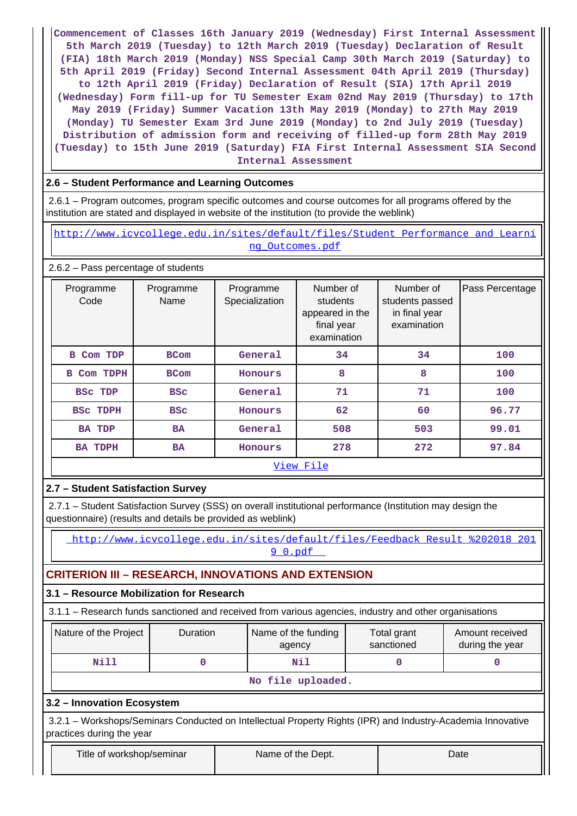**Commencement of Classes 16th January 2019 (Wednesday) First Internal Assessment 5th March 2019 (Tuesday) to 12th March 2019 (Tuesday) Declaration of Result (FIA) 18th March 2019 (Monday) NSS Special Camp 30th March 2019 (Saturday) to 5th April 2019 (Friday) Second Internal Assessment 04th April 2019 (Thursday) to 12th April 2019 (Friday) Declaration of Result (SIA) 17th April 2019 (Wednesday) Form fill-up for TU Semester Exam 02nd May 2019 (Thursday) to 17th May 2019 (Friday) Summer Vacation 13th May 2019 (Monday) to 27th May 2019 (Monday) TU Semester Exam 3rd June 2019 (Monday) to 2nd July 2019 (Tuesday) Distribution of admission form and receiving of filled-up form 28th May 2019 (Tuesday) to 15th June 2019 (Saturday) FIA First Internal Assessment SIA Second Internal Assessment**

# **2.6 – Student Performance and Learning Outcomes**

 2.6.1 – Program outcomes, program specific outcomes and course outcomes for all programs offered by the institution are stated and displayed in website of the institution (to provide the weblink)

http://www.icvcollege.edu.in/sites/default/files/Student Performance and Learni [ng\\_Outcomes.pdf](http://www.icvcollege.edu.in/sites/default/files/Student_Performance_and_Learning_Outcomes.pdf)

### 2.6.2 – Pass percentage of students

| Programme<br>Code        | Programme<br>Name | Programme<br>Specialization | Number of<br>students<br>appeared in the<br>final year<br>examination | Number of<br>students passed<br>in final year<br>examination | Pass Percentage |
|--------------------------|-------------------|-----------------------------|-----------------------------------------------------------------------|--------------------------------------------------------------|-----------------|
| Com TDP<br>в             | <b>BCom</b>       | General                     | 34                                                                    | 34                                                           | 100             |
| Com TDPH<br>$\mathbf{B}$ | <b>BCom</b>       | Honours                     | 8                                                                     | 8                                                            | 100             |
| <b>BSC TDP</b>           | <b>BSC</b>        | General                     | 71                                                                    | 71                                                           | 100             |
| <b>BSC TDPH</b>          | <b>BSC</b>        | Honours                     | 62                                                                    | 60                                                           | 96.77           |
| <b>BA TDP</b>            | <b>BA</b>         | General                     | 508                                                                   | 503                                                          | 99.01           |
| <b>BA TDPH</b>           | <b>BA</b>         | Honours                     | 278                                                                   | 272                                                          | 97.84           |
|                          |                   |                             | <u>View File</u>                                                      |                                                              |                 |

### **2.7 – Student Satisfaction Survey**

 2.7.1 – Student Satisfaction Survey (SSS) on overall institutional performance (Institution may design the questionnaire) (results and details be provided as weblink)

 [http://www.icvcollege.edu.in/sites/default/files/Feedback\\_Result\\_%202018\\_201](http://www.icvcollege.edu.in/sites/default/files/Feedback_Result_%202018_2019_0.pdf) [9\\_0.pdf](http://www.icvcollege.edu.in/sites/default/files/Feedback_Result_%202018_2019_0.pdf) 

# **CRITERION III – RESEARCH, INNOVATIONS AND EXTENSION**

### **3.1 – Resource Mobilization for Research**

3.1.1 – Research funds sanctioned and received from various agencies, industry and other organisations

| Nature of the Project | <b>Duration</b> | Name of the funding<br>agency | Total grant<br>sanctioned | Amount received<br>during the year |
|-----------------------|-----------------|-------------------------------|---------------------------|------------------------------------|
| Nill                  |                 | Nil                           |                           |                                    |
|                       |                 | No file uploaded.             |                           |                                    |

**3.2 – Innovation Ecosystem**

 3.2.1 – Workshops/Seminars Conducted on Intellectual Property Rights (IPR) and Industry-Academia Innovative practices during the year

| Title of workshop/semina |  |
|--------------------------|--|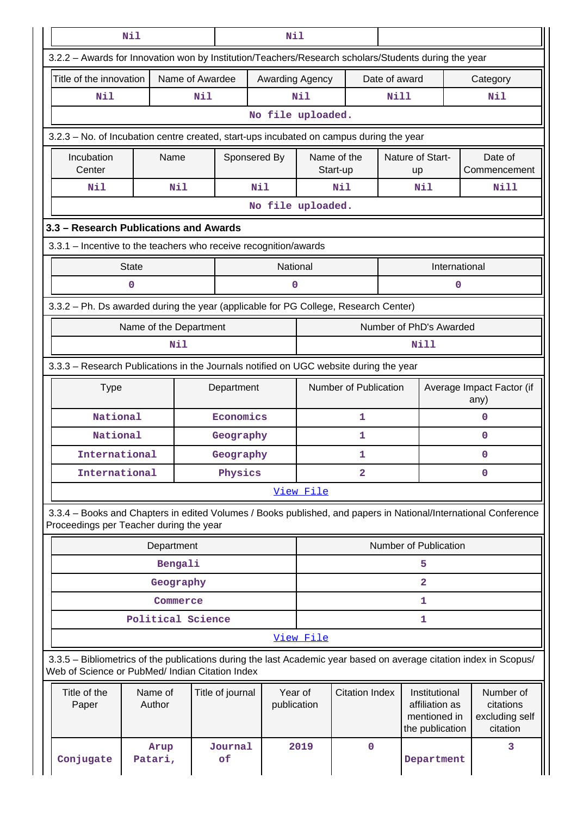|                                                                                                                                                                       | Nil                    |                 |                  | Nil                    |                   |                         |               |                                                                    |                                                                                                                 |
|-----------------------------------------------------------------------------------------------------------------------------------------------------------------------|------------------------|-----------------|------------------|------------------------|-------------------|-------------------------|---------------|--------------------------------------------------------------------|-----------------------------------------------------------------------------------------------------------------|
| 3.2.2 - Awards for Innovation won by Institution/Teachers/Research scholars/Students during the year                                                                  |                        |                 |                  |                        |                   |                         |               |                                                                    |                                                                                                                 |
| Title of the innovation                                                                                                                                               |                        | Name of Awardee |                  |                        | Awarding Agency   |                         | Date of award |                                                                    | Category                                                                                                        |
| <b>Nil</b>                                                                                                                                                            |                        | Nil             |                  |                        | Nil               |                         | <b>Nill</b>   |                                                                    | Nil                                                                                                             |
|                                                                                                                                                                       |                        |                 |                  |                        | No file uploaded. |                         |               |                                                                    |                                                                                                                 |
| 3.2.3 – No. of Incubation centre created, start-ups incubated on campus during the year                                                                               |                        |                 |                  |                        |                   |                         |               |                                                                    |                                                                                                                 |
| Incubation<br>Center                                                                                                                                                  | Name                   |                 | Sponsered By     |                        |                   | Name of the<br>Start-up |               | Nature of Start-<br>up                                             | Date of<br>Commencement                                                                                         |
| Nil                                                                                                                                                                   |                        | Nil             | Nil              |                        |                   | Nil                     |               | Nil                                                                | Nill                                                                                                            |
|                                                                                                                                                                       |                        |                 |                  |                        | No file uploaded. |                         |               |                                                                    |                                                                                                                 |
| 3.3 - Research Publications and Awards                                                                                                                                |                        |                 |                  |                        |                   |                         |               |                                                                    |                                                                                                                 |
| 3.3.1 - Incentive to the teachers who receive recognition/awards                                                                                                      |                        |                 |                  |                        |                   |                         |               |                                                                    |                                                                                                                 |
|                                                                                                                                                                       | <b>State</b>           |                 |                  | National               |                   |                         |               | International                                                      |                                                                                                                 |
|                                                                                                                                                                       | $\mathbf 0$            |                 |                  | 0                      |                   |                         |               | 0                                                                  |                                                                                                                 |
| 3.3.2 - Ph. Ds awarded during the year (applicable for PG College, Research Center)                                                                                   |                        |                 |                  |                        |                   |                         |               |                                                                    |                                                                                                                 |
|                                                                                                                                                                       | Name of the Department |                 |                  |                        |                   |                         |               | Number of PhD's Awarded                                            |                                                                                                                 |
|                                                                                                                                                                       |                        | Nil             |                  |                        |                   |                         |               | Nill                                                               |                                                                                                                 |
| 3.3.3 - Research Publications in the Journals notified on UGC website during the year                                                                                 |                        |                 |                  |                        |                   |                         |               |                                                                    |                                                                                                                 |
| <b>Type</b>                                                                                                                                                           |                        |                 | Department       |                        |                   | Number of Publication   |               |                                                                    | Average Impact Factor (if<br>any)                                                                               |
| National                                                                                                                                                              |                        |                 | Economics        |                        |                   | $\mathbf{1}$            |               |                                                                    | $\mathbf 0$                                                                                                     |
| National                                                                                                                                                              |                        |                 | Geography        |                        |                   | 1                       |               |                                                                    | $\Omega$                                                                                                        |
| International                                                                                                                                                         |                        |                 | Geography        |                        |                   | 1                       |               |                                                                    | $\mathbf 0$                                                                                                     |
| International                                                                                                                                                         |                        |                 | Physics          |                        |                   | $\mathbf{2}$            |               |                                                                    | $\mathbf 0$                                                                                                     |
|                                                                                                                                                                       |                        |                 |                  |                        | View File         |                         |               |                                                                    |                                                                                                                 |
| Proceedings per Teacher during the year                                                                                                                               |                        |                 |                  |                        |                   |                         |               |                                                                    | 3.3.4 - Books and Chapters in edited Volumes / Books published, and papers in National/International Conference |
|                                                                                                                                                                       | Department             |                 |                  |                        |                   |                         |               | Number of Publication                                              |                                                                                                                 |
|                                                                                                                                                                       |                        | Bengali         |                  |                        |                   |                         |               | 5                                                                  |                                                                                                                 |
|                                                                                                                                                                       |                        | Geography       |                  |                        |                   |                         |               | $\overline{a}$                                                     |                                                                                                                 |
|                                                                                                                                                                       |                        | Commerce        |                  |                        |                   |                         |               | 1                                                                  |                                                                                                                 |
|                                                                                                                                                                       | Political Science      |                 |                  |                        |                   |                         |               | 1                                                                  |                                                                                                                 |
|                                                                                                                                                                       |                        |                 |                  |                        | View File         |                         |               |                                                                    |                                                                                                                 |
| 3.3.5 - Bibliometrics of the publications during the last Academic year based on average citation index in Scopus/<br>Web of Science or PubMed/ Indian Citation Index |                        |                 |                  |                        |                   |                         |               |                                                                    |                                                                                                                 |
| Title of the<br>Paper                                                                                                                                                 | Name of<br>Author      |                 | Title of journal | Year of<br>publication |                   | <b>Citation Index</b>   |               | Institutional<br>affiliation as<br>mentioned in<br>the publication | Number of<br>citations<br>excluding self<br>citation                                                            |
| Conjugate                                                                                                                                                             | Arup<br>Patari,        |                 | Journal<br>of    |                        | 2019              | $\mathbf 0$             |               | Department                                                         | 3                                                                                                               |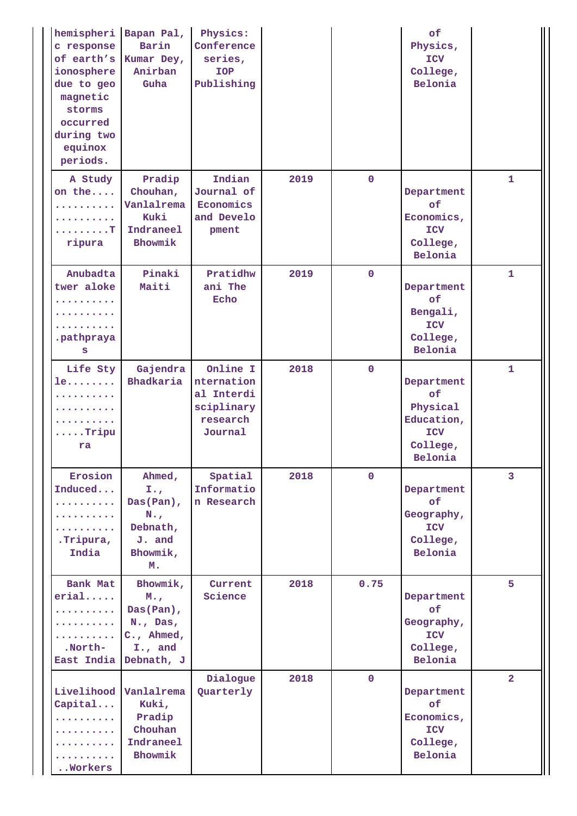| hemispheri<br>c response<br>of earth's<br>ionosphere<br>due to geo<br>magnetic<br>storms<br>occurred<br>during two<br>equinox<br>periods. | Bapan Pal,<br>Barin<br>Kumar Dey,<br>Anirban<br>Guha                                              | Physics:<br>Conference<br>series,<br><b>IOP</b><br>Publishing             |      |              | of<br>Physics,<br><b>ICV</b><br>College,<br>Belonia                             |                |
|-------------------------------------------------------------------------------------------------------------------------------------------|---------------------------------------------------------------------------------------------------|---------------------------------------------------------------------------|------|--------------|---------------------------------------------------------------------------------|----------------|
| A Study<br>on the<br>.<br>. T<br>ripura                                                                                                   | Pradip<br>Chouhan,<br>Vanlalrema<br>Kuki<br>Indraneel<br>Bhowmik                                  | Indian<br>Journal of<br>Economics<br>and Develo<br>pment                  | 2019 | $\mathbf 0$  | Department<br>of<br>Economics,<br>ICV<br>College,<br>Belonia                    | $\mathbf{1}$   |
| Anubadta<br>twer aloke<br>.pathpraya<br>S                                                                                                 | Pinaki<br>Maiti                                                                                   | Pratidhw<br>ani The<br>Echo                                               | 2019 | $\mathbf{0}$ | Department<br>of<br>Bengali,<br><b>ICV</b><br>College,<br>Belonia               | $\mathbf{1}$   |
| Life Sty<br>le<br>$\cdots$<br>$\ldots$ . Tripu<br>ra                                                                                      | Gajendra<br>Bhadkaria                                                                             | Online I<br>nternation<br>al Interdi<br>sciplinary<br>research<br>Journal | 2018 | $\mathbf 0$  | Department<br>of<br>Physical<br>Education,<br><b>ICV</b><br>College,<br>Belonia | $\mathbf{1}$   |
| Erosion<br>Induced<br>.<br><u>.</u><br>.<br>.Tripura,<br>India                                                                            | Ahmed,<br>$I_{\bullet}$<br>Das(Pan),<br>$N_{\star}$<br>Debnath,<br>J. and<br>Bhowmik,<br>м.       | Spatial<br>Informatio<br>n Research                                       | 2018 | $\Omega$     | Department<br>of<br>Geography,<br>ICV<br>College,<br>Belonia                    | $\overline{3}$ |
| Bank Mat<br>erial<br>.<br>.<br><u>.</u><br>.North-<br>East India                                                                          | Bhowmik,<br>$M_{\odot}$<br>Das(Pan),<br>$N_{\star}$ , Das,<br>C., Ahmed,<br>I., and<br>Debnath, J | Current<br>Science                                                        | 2018 | 0.75         | Department<br>of<br>Geography,<br><b>ICV</b><br>College,<br>Belonia             | 5              |
| Livelihood<br>Capital<br>. <b>.</b><br>.<br>.<br>Workers                                                                                  | Vanlalrema<br>Kuki,<br>Pradip<br>Chouhan<br>Indraneel<br>Bhowmik                                  | Dialogue<br>Quarterly                                                     | 2018 | $\Omega$     | Department<br>of<br>Economics,<br>ICV<br>College,<br>Belonia                    | $\overline{2}$ |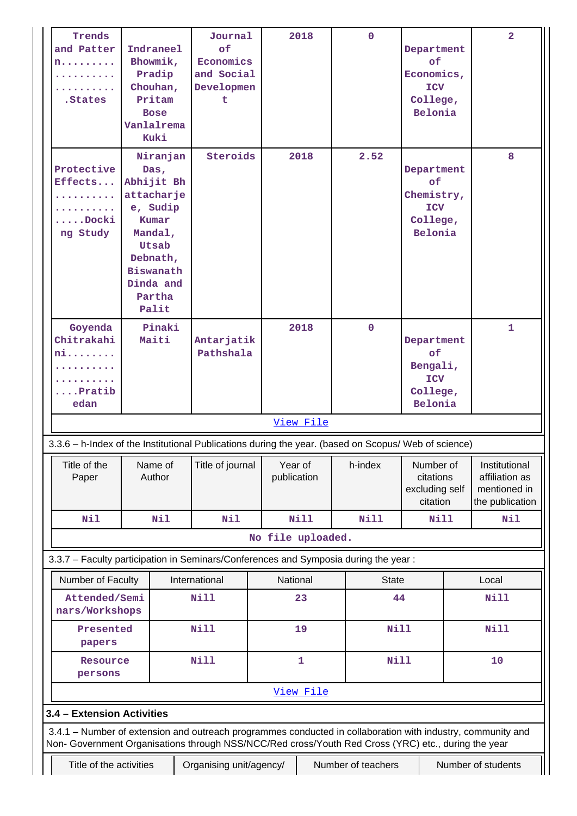| of<br>Indraneel<br>and Patter<br>Department<br>Bhowmik,<br>Economics<br>of<br>n.<br>and Social<br>Pradip<br>Economics,<br>Chouhan,<br>Developmen<br><b>ICV</b><br>Pritam<br>.States<br>College,<br>t<br>Belonia<br><b>Bose</b><br>Vanlalrema<br>Kuki<br>Niranjan<br>Steroids<br>2.52<br>2018<br>Protective<br>Department<br>$\mathbf{Das}_{\ell}$<br>Effects<br>Abhijit Bh<br>of<br>Chemistry,<br>attacharje<br>e, Sudip<br><b>ICV</b><br>$\ldots$ .Docki<br>Kumar<br>College,<br>Belonia<br>ng Study<br>Mandal,<br>Utsab<br>Debnath,<br>Biswanath<br>Dinda and<br>Partha<br>Palit<br>Goyenda<br>Pinaki<br>2018<br>$\mathbf{0}$<br>Chitrakahi<br>Maiti<br>Antarjatik<br>Department<br>Pathshala<br>of<br>ni<br>Bengali,<br><b>ICV</b><br>$\ldots$ Pratib<br>College,<br>Belonia<br>edan<br>View File<br>3.3.6 - h-Index of the Institutional Publications during the year. (based on Scopus/ Web of science) | 8<br>$\mathbf{1}$ |
|--------------------------------------------------------------------------------------------------------------------------------------------------------------------------------------------------------------------------------------------------------------------------------------------------------------------------------------------------------------------------------------------------------------------------------------------------------------------------------------------------------------------------------------------------------------------------------------------------------------------------------------------------------------------------------------------------------------------------------------------------------------------------------------------------------------------------------------------------------------------------------------------------------------|-------------------|
|                                                                                                                                                                                                                                                                                                                                                                                                                                                                                                                                                                                                                                                                                                                                                                                                                                                                                                              |                   |
|                                                                                                                                                                                                                                                                                                                                                                                                                                                                                                                                                                                                                                                                                                                                                                                                                                                                                                              |                   |
|                                                                                                                                                                                                                                                                                                                                                                                                                                                                                                                                                                                                                                                                                                                                                                                                                                                                                                              |                   |
|                                                                                                                                                                                                                                                                                                                                                                                                                                                                                                                                                                                                                                                                                                                                                                                                                                                                                                              |                   |
|                                                                                                                                                                                                                                                                                                                                                                                                                                                                                                                                                                                                                                                                                                                                                                                                                                                                                                              |                   |
|                                                                                                                                                                                                                                                                                                                                                                                                                                                                                                                                                                                                                                                                                                                                                                                                                                                                                                              |                   |
|                                                                                                                                                                                                                                                                                                                                                                                                                                                                                                                                                                                                                                                                                                                                                                                                                                                                                                              |                   |
|                                                                                                                                                                                                                                                                                                                                                                                                                                                                                                                                                                                                                                                                                                                                                                                                                                                                                                              |                   |
|                                                                                                                                                                                                                                                                                                                                                                                                                                                                                                                                                                                                                                                                                                                                                                                                                                                                                                              |                   |
|                                                                                                                                                                                                                                                                                                                                                                                                                                                                                                                                                                                                                                                                                                                                                                                                                                                                                                              |                   |
|                                                                                                                                                                                                                                                                                                                                                                                                                                                                                                                                                                                                                                                                                                                                                                                                                                                                                                              |                   |
|                                                                                                                                                                                                                                                                                                                                                                                                                                                                                                                                                                                                                                                                                                                                                                                                                                                                                                              |                   |
|                                                                                                                                                                                                                                                                                                                                                                                                                                                                                                                                                                                                                                                                                                                                                                                                                                                                                                              |                   |
|                                                                                                                                                                                                                                                                                                                                                                                                                                                                                                                                                                                                                                                                                                                                                                                                                                                                                                              |                   |
|                                                                                                                                                                                                                                                                                                                                                                                                                                                                                                                                                                                                                                                                                                                                                                                                                                                                                                              |                   |
|                                                                                                                                                                                                                                                                                                                                                                                                                                                                                                                                                                                                                                                                                                                                                                                                                                                                                                              |                   |
|                                                                                                                                                                                                                                                                                                                                                                                                                                                                                                                                                                                                                                                                                                                                                                                                                                                                                                              |                   |
|                                                                                                                                                                                                                                                                                                                                                                                                                                                                                                                                                                                                                                                                                                                                                                                                                                                                                                              |                   |
|                                                                                                                                                                                                                                                                                                                                                                                                                                                                                                                                                                                                                                                                                                                                                                                                                                                                                                              |                   |
|                                                                                                                                                                                                                                                                                                                                                                                                                                                                                                                                                                                                                                                                                                                                                                                                                                                                                                              |                   |
|                                                                                                                                                                                                                                                                                                                                                                                                                                                                                                                                                                                                                                                                                                                                                                                                                                                                                                              |                   |
|                                                                                                                                                                                                                                                                                                                                                                                                                                                                                                                                                                                                                                                                                                                                                                                                                                                                                                              |                   |
|                                                                                                                                                                                                                                                                                                                                                                                                                                                                                                                                                                                                                                                                                                                                                                                                                                                                                                              |                   |
|                                                                                                                                                                                                                                                                                                                                                                                                                                                                                                                                                                                                                                                                                                                                                                                                                                                                                                              |                   |
|                                                                                                                                                                                                                                                                                                                                                                                                                                                                                                                                                                                                                                                                                                                                                                                                                                                                                                              |                   |
|                                                                                                                                                                                                                                                                                                                                                                                                                                                                                                                                                                                                                                                                                                                                                                                                                                                                                                              |                   |
|                                                                                                                                                                                                                                                                                                                                                                                                                                                                                                                                                                                                                                                                                                                                                                                                                                                                                                              |                   |
| Title of the<br>Name of<br>Title of journal<br>Year of<br>h-index<br>Number of<br>Institutional                                                                                                                                                                                                                                                                                                                                                                                                                                                                                                                                                                                                                                                                                                                                                                                                              |                   |
| citations<br>affiliation as<br>Paper<br>Author<br>publication                                                                                                                                                                                                                                                                                                                                                                                                                                                                                                                                                                                                                                                                                                                                                                                                                                                |                   |
| excluding self<br>mentioned in                                                                                                                                                                                                                                                                                                                                                                                                                                                                                                                                                                                                                                                                                                                                                                                                                                                                               |                   |
| the publication<br>citation                                                                                                                                                                                                                                                                                                                                                                                                                                                                                                                                                                                                                                                                                                                                                                                                                                                                                  |                   |
| <b>Nill</b><br>Nil<br><b>Nil</b><br>Nil<br>Nill<br>Nill                                                                                                                                                                                                                                                                                                                                                                                                                                                                                                                                                                                                                                                                                                                                                                                                                                                      | Nil               |
| No file uploaded.                                                                                                                                                                                                                                                                                                                                                                                                                                                                                                                                                                                                                                                                                                                                                                                                                                                                                            |                   |
| 3.3.7 - Faculty participation in Seminars/Conferences and Symposia during the year:                                                                                                                                                                                                                                                                                                                                                                                                                                                                                                                                                                                                                                                                                                                                                                                                                          |                   |
| National<br>Number of Faculty<br>International<br><b>State</b><br>Local                                                                                                                                                                                                                                                                                                                                                                                                                                                                                                                                                                                                                                                                                                                                                                                                                                      |                   |
| Attended/Semi<br><b>Nill</b><br>23<br>44<br><b>Nill</b><br>nars/Workshops                                                                                                                                                                                                                                                                                                                                                                                                                                                                                                                                                                                                                                                                                                                                                                                                                                    |                   |
|                                                                                                                                                                                                                                                                                                                                                                                                                                                                                                                                                                                                                                                                                                                                                                                                                                                                                                              |                   |
| <b>Nill</b><br>19<br><b>Nill</b><br><b>Nill</b><br>Presented                                                                                                                                                                                                                                                                                                                                                                                                                                                                                                                                                                                                                                                                                                                                                                                                                                                 |                   |
| papers                                                                                                                                                                                                                                                                                                                                                                                                                                                                                                                                                                                                                                                                                                                                                                                                                                                                                                       |                   |
| $\mathbf 1$<br><b>Nill</b><br>Nill<br>10<br>Resource<br>persons                                                                                                                                                                                                                                                                                                                                                                                                                                                                                                                                                                                                                                                                                                                                                                                                                                              |                   |
| View File                                                                                                                                                                                                                                                                                                                                                                                                                                                                                                                                                                                                                                                                                                                                                                                                                                                                                                    |                   |
|                                                                                                                                                                                                                                                                                                                                                                                                                                                                                                                                                                                                                                                                                                                                                                                                                                                                                                              |                   |
| 3.4 - Extension Activities                                                                                                                                                                                                                                                                                                                                                                                                                                                                                                                                                                                                                                                                                                                                                                                                                                                                                   |                   |
| 3.4.1 - Number of extension and outreach programmes conducted in collaboration with industry, community and                                                                                                                                                                                                                                                                                                                                                                                                                                                                                                                                                                                                                                                                                                                                                                                                  |                   |
| Non- Government Organisations through NSS/NCC/Red cross/Youth Red Cross (YRC) etc., during the year                                                                                                                                                                                                                                                                                                                                                                                                                                                                                                                                                                                                                                                                                                                                                                                                          |                   |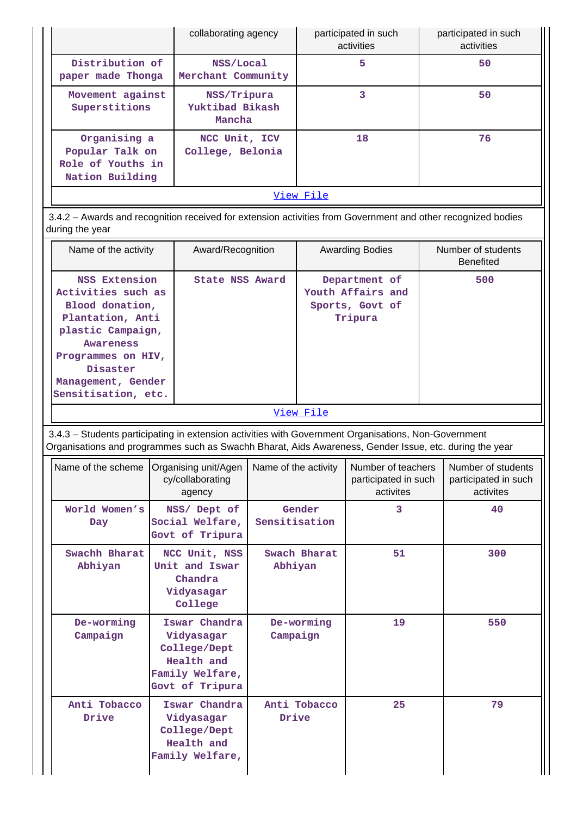|                                                                                                                                                                                                                |                                                                                                                                                                                              | collaborating agency   |                              | participated in such<br>activities                               |  | participated in such<br>activities                      |
|----------------------------------------------------------------------------------------------------------------------------------------------------------------------------------------------------------------|----------------------------------------------------------------------------------------------------------------------------------------------------------------------------------------------|------------------------|------------------------------|------------------------------------------------------------------|--|---------------------------------------------------------|
| Distribution of<br>paper made Thonga                                                                                                                                                                           | NSS/Local<br>Merchant Community                                                                                                                                                              |                        |                              | 5                                                                |  | 50                                                      |
| Movement against<br>Superstitions                                                                                                                                                                              | NSS/Tripura<br>Yuktibad Bikash<br>Mancha                                                                                                                                                     |                        |                              | 3                                                                |  | 50                                                      |
| Organising a<br>Popular Talk on<br>Role of Youths in<br>Nation Building                                                                                                                                        | NCC Unit, ICV<br>College, Belonia                                                                                                                                                            |                        |                              | 18                                                               |  | 76                                                      |
|                                                                                                                                                                                                                |                                                                                                                                                                                              |                        | View File                    |                                                                  |  |                                                         |
| 3.4.2 - Awards and recognition received for extension activities from Government and other recognized bodies<br>during the year                                                                                |                                                                                                                                                                                              |                        |                              |                                                                  |  |                                                         |
| Name of the activity                                                                                                                                                                                           | Award/Recognition                                                                                                                                                                            |                        |                              | <b>Awarding Bodies</b>                                           |  | Number of students<br><b>Benefited</b>                  |
| <b>Awareness</b><br>Disaster                                                                                                                                                                                   | <b>NSS Extension</b><br>State NSS Award<br>Activities such as<br>Blood donation,<br>Plantation, Anti<br>plastic Campaign,<br>Programmes on HIV,<br>Management, Gender<br>Sensitisation, etc. |                        |                              | Department of<br>Youth Affairs and<br>Sports, Govt of<br>Tripura |  | 500                                                     |
|                                                                                                                                                                                                                |                                                                                                                                                                                              |                        | View File                    |                                                                  |  |                                                         |
| 3.4.3 - Students participating in extension activities with Government Organisations, Non-Government<br>Organisations and programmes such as Swachh Bharat, Aids Awareness, Gender Issue, etc. during the year |                                                                                                                                                                                              |                        |                              |                                                                  |  |                                                         |
| Name of the scheme                                                                                                                                                                                             | Organising unit/Agen<br>cy/collaborating<br>agency                                                                                                                                           | Name of the activity   |                              | Number of teachers<br>participated in such<br>activites          |  | Number of students<br>participated in such<br>activites |
| World Women's<br>Day                                                                                                                                                                                           | NSS/ Dept of<br>Social Welfare,<br>Govt of Tripura                                                                                                                                           |                        | Gender<br>3<br>Sensitisation |                                                                  |  | 40                                                      |
| Swachh Bharat<br>Abhiyan                                                                                                                                                                                       | NCC Unit, NSS<br>Unit and Iswar<br>Chandra<br>Vidyasagar<br>College                                                                                                                          |                        |                              | Swach Bharat<br>51<br>Abhiyan                                    |  | 300                                                     |
| De-worming<br>Campaign                                                                                                                                                                                         | Iswar Chandra<br>Vidyasagar<br>College/Dept<br>Health and<br>Family Welfare,<br>Govt of Tripura                                                                                              | De-worming<br>Campaign |                              | 19                                                               |  | 550                                                     |
| Anti Tobacco<br>Drive                                                                                                                                                                                          | Iswar Chandra<br>Vidyasagar<br>College/Dept<br>Health and<br>Family Welfare,                                                                                                                 | Drive                  | Anti Tobacco                 | 25                                                               |  | 79                                                      |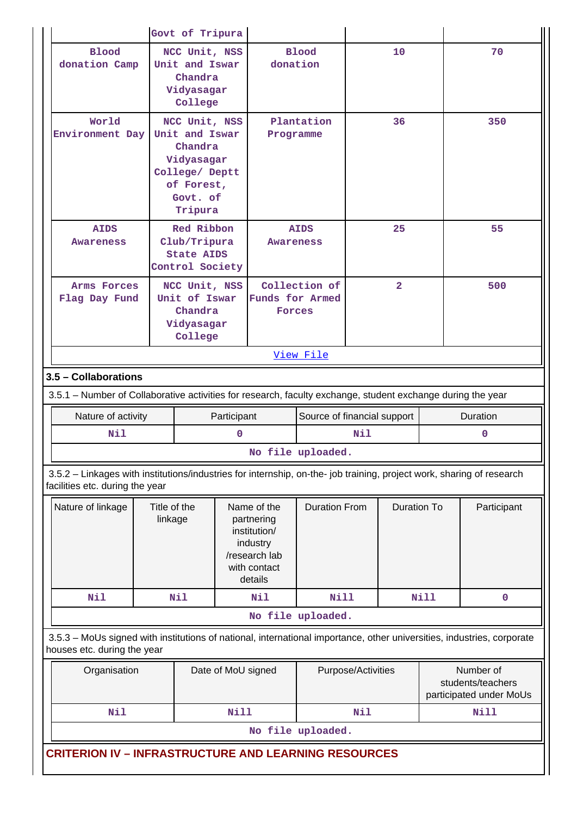|                                                                                                                                                          |                         | Govt of Tripura                                                                                 |                                                                               |                                                                                                   |                         |                             |                    |             |                                                           |     |
|----------------------------------------------------------------------------------------------------------------------------------------------------------|-------------------------|-------------------------------------------------------------------------------------------------|-------------------------------------------------------------------------------|---------------------------------------------------------------------------------------------------|-------------------------|-----------------------------|--------------------|-------------|-----------------------------------------------------------|-----|
| <b>Blood</b><br>donation Camp                                                                                                                            |                         | NCC Unit, NSS<br><b>Blood</b><br>Unit and Iswar<br>donation<br>Chandra<br>Vidyasagar<br>College |                                                                               |                                                                                                   | 10                      |                             | 70                 |             |                                                           |     |
| World<br>Environment Day                                                                                                                                 |                         | Chandra<br>Govt. of<br>Tripura                                                                  | NCC Unit, NSS<br>Unit and Iswar<br>Vidyasagar<br>College/ Deptt<br>of Forest, |                                                                                                   | Plantation<br>Programme |                             | 36                 |             |                                                           | 350 |
| <b>AIDS</b><br>Awareness                                                                                                                                 |                         | Red Ribbon<br>Club/Tripura<br><b>State AIDS</b>                                                 | <b>AIDS</b><br><b>Awareness</b><br>Control Society                            |                                                                                                   |                         |                             | 25                 |             | 55                                                        |     |
| Arms Forces<br>Flag Day Fund                                                                                                                             |                         | NCC Unit, NSS<br>Unit of Iswar<br>Chandra<br>Vidyasagar<br>College                              |                                                                               | Collection of<br><b>Funds for Armed</b><br>Forces                                                 |                         |                             | $\overline{2}$     |             | 500                                                       |     |
|                                                                                                                                                          |                         |                                                                                                 |                                                                               |                                                                                                   | <u>View File</u>        |                             |                    |             |                                                           |     |
| 3.5 - Collaborations                                                                                                                                     |                         |                                                                                                 |                                                                               |                                                                                                   |                         |                             |                    |             |                                                           |     |
| 3.5.1 - Number of Collaborative activities for research, faculty exchange, student exchange during the year                                              |                         |                                                                                                 |                                                                               |                                                                                                   |                         |                             |                    |             |                                                           |     |
| Nature of activity                                                                                                                                       |                         |                                                                                                 | Participant                                                                   |                                                                                                   |                         | Source of financial support |                    |             | Duration                                                  |     |
| Nil                                                                                                                                                      |                         |                                                                                                 | $\mathbf 0$                                                                   |                                                                                                   |                         | Nil                         |                    |             | 0                                                         |     |
|                                                                                                                                                          |                         |                                                                                                 |                                                                               | No file uploaded.                                                                                 |                         |                             |                    |             |                                                           |     |
| 3.5.2 - Linkages with institutions/industries for internship, on-the- job training, project work, sharing of research<br>facilities etc. during the year |                         |                                                                                                 |                                                                               |                                                                                                   |                         |                             |                    |             |                                                           |     |
| Nature of linkage                                                                                                                                        | Title of the<br>linkage |                                                                                                 |                                                                               | Name of the<br>partnering<br>institution/<br>industry<br>/research lab<br>with contact<br>details | <b>Duration From</b>    |                             | <b>Duration To</b> |             | Participant                                               |     |
| <b>Nil</b>                                                                                                                                               |                         | <b>Nil</b>                                                                                      |                                                                               | Nil                                                                                               | <b>Nill</b>             |                             |                    | <b>Nill</b> | $\mathbf 0$                                               |     |
|                                                                                                                                                          |                         |                                                                                                 |                                                                               |                                                                                                   | No file uploaded.       |                             |                    |             |                                                           |     |
| 3.5.3 - MoUs signed with institutions of national, international importance, other universities, industries, corporate<br>houses etc. during the year    |                         |                                                                                                 |                                                                               |                                                                                                   |                         |                             |                    |             |                                                           |     |
| Organisation                                                                                                                                             |                         |                                                                                                 | Date of MoU signed                                                            |                                                                                                   |                         | Purpose/Activities          |                    |             | Number of<br>students/teachers<br>participated under MoUs |     |
| <b>Nil</b>                                                                                                                                               |                         |                                                                                                 | Nill                                                                          |                                                                                                   |                         | Nil                         |                    |             | Nill                                                      |     |
|                                                                                                                                                          |                         |                                                                                                 |                                                                               |                                                                                                   | No file uploaded.       |                             |                    |             |                                                           |     |
| <b>CRITERION IV - INFRASTRUCTURE AND LEARNING RESOURCES</b>                                                                                              |                         |                                                                                                 |                                                                               |                                                                                                   |                         |                             |                    |             |                                                           |     |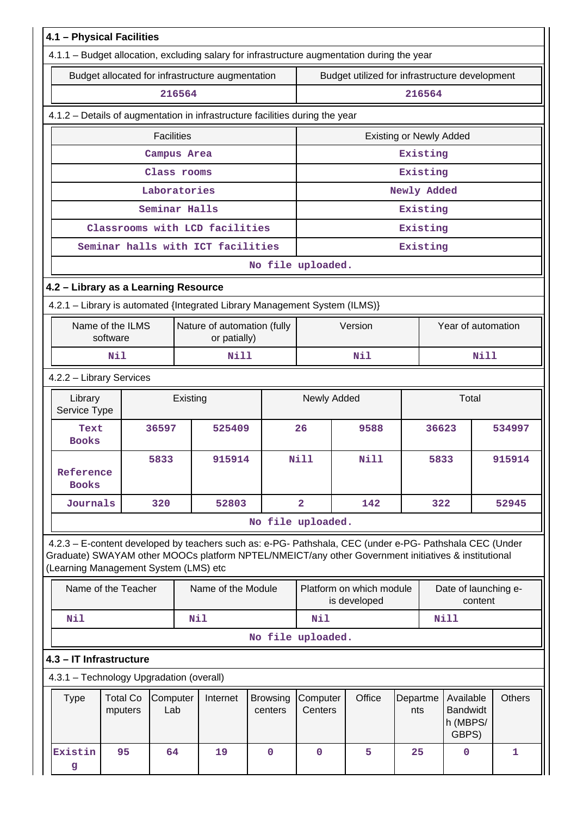| 4.1 - Physical Facilities<br>4.1.1 - Budget allocation, excluding salary for infrastructure augmentation during the year                                                                                                                                |                                             |                            |                                                          |                                          |                 |                                                   |               |
|---------------------------------------------------------------------------------------------------------------------------------------------------------------------------------------------------------------------------------------------------------|---------------------------------------------|----------------------------|----------------------------------------------------------|------------------------------------------|-----------------|---------------------------------------------------|---------------|
| Budget allocated for infrastructure augmentation                                                                                                                                                                                                        |                                             |                            |                                                          |                                          |                 |                                                   |               |
|                                                                                                                                                                                                                                                         | 216564                                      |                            | Budget utilized for infrastructure development<br>216564 |                                          |                 |                                                   |               |
| 4.1.2 - Details of augmentation in infrastructure facilities during the year                                                                                                                                                                            |                                             |                            |                                                          |                                          |                 |                                                   |               |
| <b>Facilities</b>                                                                                                                                                                                                                                       |                                             |                            | <b>Existing or Newly Added</b>                           |                                          |                 |                                                   |               |
|                                                                                                                                                                                                                                                         | Campus Area                                 |                            |                                                          |                                          | Existing        |                                                   |               |
|                                                                                                                                                                                                                                                         | Class rooms                                 |                            |                                                          |                                          | Existing        |                                                   |               |
|                                                                                                                                                                                                                                                         | Laboratories                                |                            |                                                          |                                          | Newly Added     |                                                   |               |
|                                                                                                                                                                                                                                                         | Seminar Halls                               |                            |                                                          |                                          | Existing        |                                                   |               |
| Classrooms with LCD facilities                                                                                                                                                                                                                          |                                             |                            |                                                          |                                          | Existing        |                                                   |               |
| Seminar halls with ICT facilities                                                                                                                                                                                                                       |                                             |                            |                                                          |                                          | Existing        |                                                   |               |
|                                                                                                                                                                                                                                                         |                                             | No file uploaded.          |                                                          |                                          |                 |                                                   |               |
| 4.2 - Library as a Learning Resource                                                                                                                                                                                                                    |                                             |                            |                                                          |                                          |                 |                                                   |               |
| 4.2.1 - Library is automated {Integrated Library Management System (ILMS)}                                                                                                                                                                              |                                             |                            |                                                          |                                          |                 |                                                   |               |
| Name of the ILMS<br>software                                                                                                                                                                                                                            | Nature of automation (fully<br>or patially) |                            |                                                          | Version                                  |                 | Year of automation                                |               |
| Nil                                                                                                                                                                                                                                                     | <b>Nill</b>                                 |                            |                                                          | Nil                                      |                 | Nill                                              |               |
| 4.2.2 - Library Services                                                                                                                                                                                                                                |                                             |                            |                                                          |                                          |                 |                                                   |               |
| Library<br>Service Type                                                                                                                                                                                                                                 | Existing                                    |                            | Newly Added<br>Total                                     |                                          |                 |                                                   |               |
| 36597<br>Text<br><b>Books</b>                                                                                                                                                                                                                           | 525409                                      |                            | 26                                                       | 9588<br>36623                            |                 |                                                   | 534997        |
| 5833<br>Reference<br><b>Books</b>                                                                                                                                                                                                                       | 915914                                      |                            | Nill                                                     | Nill                                     |                 | 5833                                              | 915914        |
| Journals<br>320                                                                                                                                                                                                                                         | 52803                                       |                            | $\overline{2}$                                           | 142                                      | 322             |                                                   | 52945         |
|                                                                                                                                                                                                                                                         |                                             | No file uploaded.          |                                                          |                                          |                 |                                                   |               |
| 4.2.3 - E-content developed by teachers such as: e-PG- Pathshala, CEC (under e-PG- Pathshala CEC (Under<br>Graduate) SWAYAM other MOOCs platform NPTEL/NMEICT/any other Government initiatives & institutional<br>(Learning Management System (LMS) etc |                                             |                            |                                                          |                                          |                 |                                                   |               |
| Name of the Teacher                                                                                                                                                                                                                                     | Name of the Module                          |                            |                                                          | Platform on which module<br>is developed |                 | Date of launching e-<br>content                   |               |
| <b>Nil</b>                                                                                                                                                                                                                                              | Nil                                         |                            | Nil                                                      |                                          |                 | Nill                                              |               |
|                                                                                                                                                                                                                                                         |                                             | No file uploaded.          |                                                          |                                          |                 |                                                   |               |
| 4.3 - IT Infrastructure                                                                                                                                                                                                                                 |                                             |                            |                                                          |                                          |                 |                                                   |               |
| 4.3.1 - Technology Upgradation (overall)                                                                                                                                                                                                                |                                             |                            |                                                          |                                          |                 |                                                   |               |
| <b>Type</b><br><b>Total Co</b><br>Computer<br>Lab<br>mputers                                                                                                                                                                                            | Internet                                    | <b>Browsing</b><br>centers | Computer<br>Centers                                      | Office                                   | Departme<br>nts | Available<br><b>Bandwidt</b><br>h (MBPS/<br>GBPS) | <b>Others</b> |
| Existin<br>95<br>64<br>g                                                                                                                                                                                                                                | 19                                          | $\mathbf 0$                | $\mathbf 0$                                              | 5                                        | 25              | 0                                                 | 1             |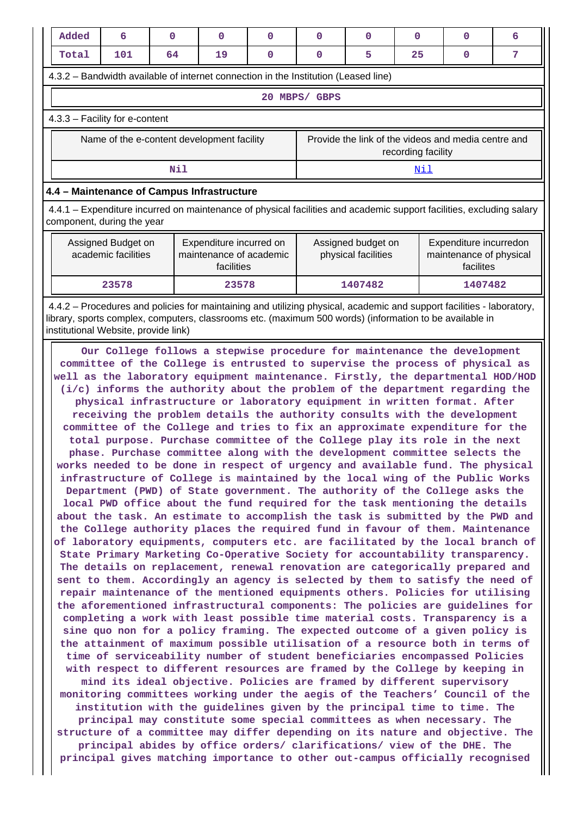| Added                                                                                                                                              | 6                                                                                                             | $\Omega$ | $\Omega$ | $\Omega$ | 0                                         | 0       | 0                                                              | 0                                                   | 6 |
|----------------------------------------------------------------------------------------------------------------------------------------------------|---------------------------------------------------------------------------------------------------------------|----------|----------|----------|-------------------------------------------|---------|----------------------------------------------------------------|-----------------------------------------------------|---|
| Total                                                                                                                                              | 101                                                                                                           | 64       | 19       | $\Omega$ | 0                                         | 5       | 25                                                             | 0                                                   | 7 |
| 4.3.2 – Bandwidth available of internet connection in the Institution (Leased line)                                                                |                                                                                                               |          |          |          |                                           |         |                                                                |                                                     |   |
|                                                                                                                                                    | 20<br>MBPS/<br><b>GBPS</b>                                                                                    |          |          |          |                                           |         |                                                                |                                                     |   |
|                                                                                                                                                    | $4.3.3$ – Facility for e-content                                                                              |          |          |          |                                           |         |                                                                |                                                     |   |
|                                                                                                                                                    | Name of the e-content development facility                                                                    |          |          |          |                                           |         | recording facility                                             | Provide the link of the videos and media centre and |   |
|                                                                                                                                                    |                                                                                                               | Nil      |          |          |                                           |         | Nil                                                            |                                                     |   |
| 4.4 - Maintenance of Campus Infrastructure                                                                                                         |                                                                                                               |          |          |          |                                           |         |                                                                |                                                     |   |
| 4.4.1 – Expenditure incurred on maintenance of physical facilities and academic support facilities, excluding salary<br>component, during the year |                                                                                                               |          |          |          |                                           |         |                                                                |                                                     |   |
|                                                                                                                                                    | Assigned Budget on<br>Expenditure incurred on<br>academic facilities<br>maintenance of academic<br>facilities |          |          |          | Assigned budget on<br>physical facilities |         | Expenditure incurredon<br>maintenance of physical<br>facilites |                                                     |   |
|                                                                                                                                                    | 23578                                                                                                         |          | 23578    |          |                                           | 1407482 |                                                                | 1407482                                             |   |

 4.4.2 – Procedures and policies for maintaining and utilizing physical, academic and support facilities - laboratory, library, sports complex, computers, classrooms etc. (maximum 500 words) (information to be available in institutional Website, provide link)

 **Our College follows a stepwise procedure for maintenance the development committee of the College is entrusted to supervise the process of physical as well as the laboratory equipment maintenance. Firstly, the departmental HOD/HOD (i/c) informs the authority about the problem of the department regarding the physical infrastructure or laboratory equipment in written format. After receiving the problem details the authority consults with the development committee of the College and tries to fix an approximate expenditure for the total purpose. Purchase committee of the College play its role in the next phase. Purchase committee along with the development committee selects the works needed to be done in respect of urgency and available fund. The physical infrastructure of College is maintained by the local wing of the Public Works Department (PWD) of State government. The authority of the College asks the local PWD office about the fund required for the task mentioning the details about the task. An estimate to accomplish the task is submitted by the PWD and the College authority places the required fund in favour of them. Maintenance of laboratory equipments, computers etc. are facilitated by the local branch of State Primary Marketing Co-Operative Society for accountability transparency. The details on replacement, renewal renovation are categorically prepared and sent to them. Accordingly an agency is selected by them to satisfy the need of repair maintenance of the mentioned equipments others. Policies for utilising the aforementioned infrastructural components: The policies are guidelines for completing a work with least possible time material costs. Transparency is a sine quo non for a policy framing. The expected outcome of a given policy is the attainment of maximum possible utilisation of a resource both in terms of time of serviceability number of student beneficiaries encompassed Policies with respect to different resources are framed by the College by keeping in mind its ideal objective. Policies are framed by different supervisory monitoring committees working under the aegis of the Teachers' Council of the institution with the guidelines given by the principal time to time. The principal may constitute some special committees as when necessary. The structure of a committee may differ depending on its nature and objective. The principal abides by office orders/ clarifications/ view of the DHE. The principal gives matching importance to other out-campus officially recognised**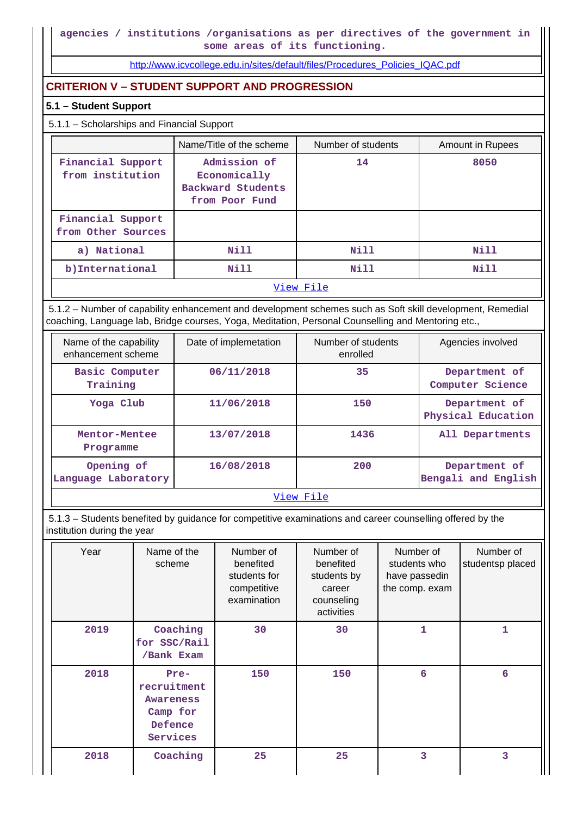[http://www.icvcollege.edu.in/sites/default/files/Procedures\\_Policies\\_IQAC.pdf](http://www.icvcollege.edu.in/sites/default/files/Procedures_Policies_IQAC.pdf)

# **CRITERION V – STUDENT SUPPORT AND PROGRESSION**

### **5.1 – Student Support**

# 5.1.1 – Scholarships and Financial Support

|                                         | Name/Title of the scheme                                            | Number of students | Amount in Rupees |
|-----------------------------------------|---------------------------------------------------------------------|--------------------|------------------|
| Financial Support<br>from institution   | Admission of<br>Economically<br>Backward Students<br>from Poor Fund | 14                 | 8050             |
| Financial Support<br>from Other Sources |                                                                     |                    |                  |
| a) National                             | Nill                                                                | N <sub>i</sub> 11  | Nill             |
| b) International                        | Nill                                                                | Nill               | Nill             |
|                                         |                                                                     | View File          |                  |

 5.1.2 – Number of capability enhancement and development schemes such as Soft skill development, Remedial coaching, Language lab, Bridge courses, Yoga, Meditation, Personal Counselling and Mentoring etc.,

| Name of the capability<br>enhancement scheme | Date of implemetation | Number of students<br>enrolled | Agencies involved                    |  |  |  |
|----------------------------------------------|-----------------------|--------------------------------|--------------------------------------|--|--|--|
| Basic Computer<br>Training                   | 06/11/2018            | 35                             | Department of<br>Computer Science    |  |  |  |
| Yoga Club                                    | 11/06/2018            | 150                            | Department of<br>Physical Education  |  |  |  |
| Mentor-Mentee<br>Programme                   | 13/07/2018            | 1436                           | All Departments                      |  |  |  |
| Opening of<br>Language Laboratory            | 16/08/2018            | 200                            | Department of<br>Bengali and English |  |  |  |
|                                              | View File             |                                |                                      |  |  |  |

 5.1.3 – Students benefited by guidance for competitive examinations and career counselling offered by the institution during the year

| Year | Name of the<br>scheme                                                      | Number of<br>benefited<br>students for<br>competitive<br>examination | Number of<br>benefited<br>students by<br>career<br>counseling<br>activities | Number of<br>students who<br>have passedin<br>the comp. exam | Number of<br>studentsp placed |
|------|----------------------------------------------------------------------------|----------------------------------------------------------------------|-----------------------------------------------------------------------------|--------------------------------------------------------------|-------------------------------|
| 2019 | Coaching<br>for SSC/Rail<br>/Bank Exam                                     | 30                                                                   | 30                                                                          | 1                                                            | 1                             |
| 2018 | Pre-<br>recruitment<br><b>Awareness</b><br>Camp for<br>Defence<br>Services | 150                                                                  | 150                                                                         | 6                                                            | 6                             |
| 2018 | Coaching                                                                   | 25                                                                   | 25                                                                          | 3                                                            | 3                             |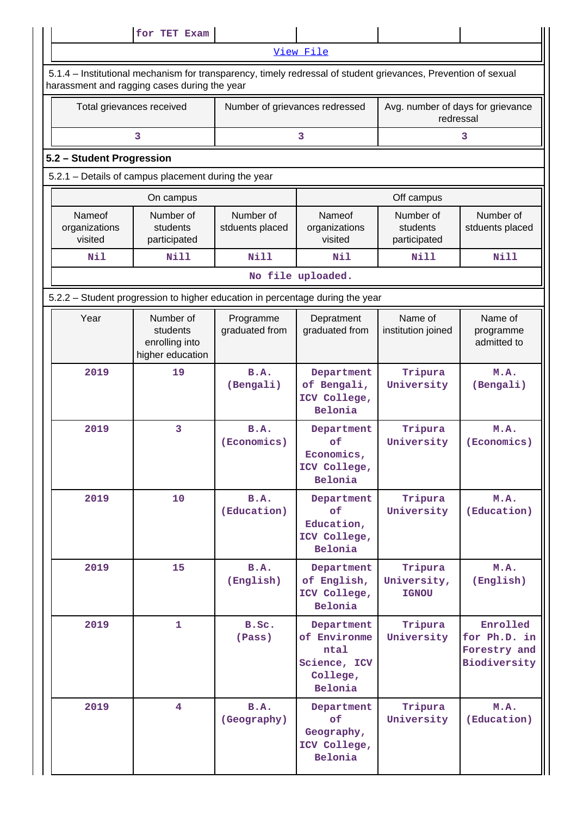|                                                                               | for TET Exam                                                                                                                                                   |                             |                                                                           |                                                |                                                          |  |  |
|-------------------------------------------------------------------------------|----------------------------------------------------------------------------------------------------------------------------------------------------------------|-----------------------------|---------------------------------------------------------------------------|------------------------------------------------|----------------------------------------------------------|--|--|
|                                                                               |                                                                                                                                                                |                             | View File                                                                 |                                                |                                                          |  |  |
|                                                                               | 5.1.4 – Institutional mechanism for transparency, timely redressal of student grievances, Prevention of sexual<br>harassment and ragging cases during the year |                             |                                                                           |                                                |                                                          |  |  |
| Total grievances received                                                     |                                                                                                                                                                |                             | Number of grievances redressed                                            | Avg. number of days for grievance<br>redressal |                                                          |  |  |
|                                                                               | 3                                                                                                                                                              |                             | 3                                                                         |                                                | 3                                                        |  |  |
| 5.2 - Student Progression                                                     |                                                                                                                                                                |                             |                                                                           |                                                |                                                          |  |  |
|                                                                               | 5.2.1 - Details of campus placement during the year                                                                                                            |                             |                                                                           |                                                |                                                          |  |  |
|                                                                               | On campus                                                                                                                                                      |                             |                                                                           | Off campus                                     |                                                          |  |  |
| Nameof<br>organizations<br>visited                                            | Number of<br>Number of<br>students<br>stduents placed<br>participated                                                                                          |                             | Nameof<br>organizations<br>visited                                        | Number of<br>students<br>participated          | Number of<br>stduents placed                             |  |  |
| Nil                                                                           | <b>Nill</b>                                                                                                                                                    | Nill                        | Nil                                                                       | Nill                                           | Nill                                                     |  |  |
|                                                                               |                                                                                                                                                                |                             | No file uploaded.                                                         |                                                |                                                          |  |  |
| 5.2.2 - Student progression to higher education in percentage during the year |                                                                                                                                                                |                             |                                                                           |                                                |                                                          |  |  |
| Year                                                                          | Number of<br>students<br>enrolling into<br>higher education                                                                                                    | Programme<br>graduated from | Depratment<br>graduated from                                              | Name of<br>institution joined                  | Name of<br>programme<br>admitted to                      |  |  |
| 2019                                                                          | 19                                                                                                                                                             | B.A.<br>(Bengali)           | Department<br>of Bengali,<br>ICV College,<br>Belonia                      | Tripura<br>University                          | M.A.<br>(Bengali)                                        |  |  |
| 2019                                                                          | 3                                                                                                                                                              | B.A.<br>(Economics)         | Department<br>of<br>Economics,<br>ICV College,<br><b>Belonia</b>          | Tripura<br>University                          | M.A.<br>(Economics)                                      |  |  |
| 2019                                                                          | 10                                                                                                                                                             | B.A.<br>(Education)         | Department<br>of<br>Education,<br>ICV College,<br><b>Belonia</b>          | Tripura<br>University                          | M.A.<br>(Education)                                      |  |  |
| 2019                                                                          | 15                                                                                                                                                             | <b>B.A.</b><br>(English)    | Department<br>of English,<br>ICV College,<br>Belonia                      | Tripura<br>University,<br><b>IGNOU</b>         | M.A.<br>(English)                                        |  |  |
| 2019                                                                          | $\mathbf{1}$                                                                                                                                                   | B.Sc.<br>(Pass)             | Department<br>of Environme<br>ntal<br>Science, ICV<br>College,<br>Belonia | Tripura<br>University                          | Enrolled<br>for Ph.D. in<br>Forestry and<br>Biodiversity |  |  |
| 2019                                                                          | $\overline{4}$                                                                                                                                                 | B.A.<br>(Geography)         | Department<br>of<br>Geography,<br>ICV College,<br>Belonia                 | Tripura<br>University                          | M.A.<br>(Education)                                      |  |  |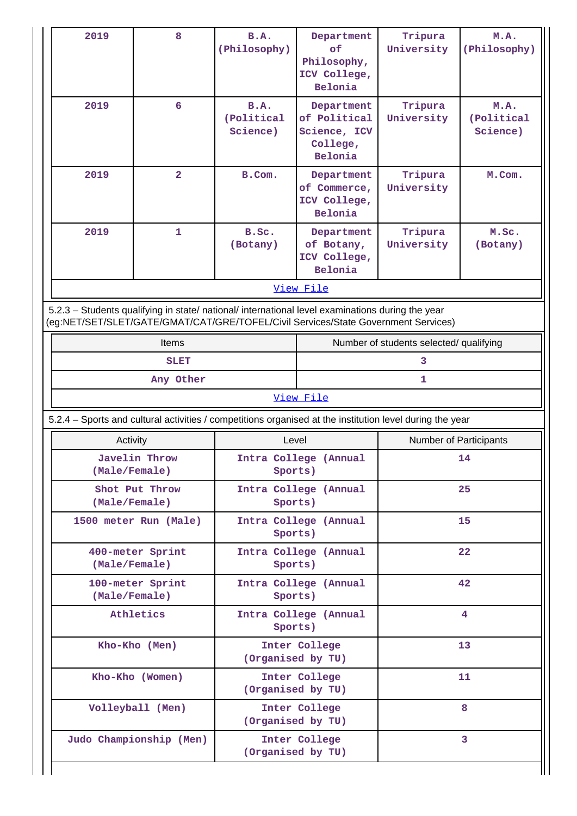| 2019                                                                                                                                                                                   | 8                                 | B.A.<br>(Philosophy)                  | Department<br>оf<br>Philosophy,<br>ICV College,<br>Belonia        | Tripura<br>University                   | M.A.<br>(Philosophy)           |  |
|----------------------------------------------------------------------------------------------------------------------------------------------------------------------------------------|-----------------------------------|---------------------------------------|-------------------------------------------------------------------|-----------------------------------------|--------------------------------|--|
| 2019                                                                                                                                                                                   | 6                                 | <b>B.A.</b><br>(Political<br>Science) | Department<br>of Political<br>Science, ICV<br>College,<br>Belonia | Tripura<br>University                   | M.A.<br>(Political<br>Science) |  |
| 2019                                                                                                                                                                                   | $\overline{\mathbf{2}}$           | B.Com.                                | Department<br>of Commerce,<br>ICV College,<br>Belonia             | Tripura<br>University                   | M.Com.                         |  |
| 2019                                                                                                                                                                                   | $\mathbf{1}$                      | B.Sc.<br>(Botany)                     | Department<br>of Botany,<br>ICV College,<br>Belonia               | Tripura<br>University                   | M.Sc.<br>(Botany)              |  |
|                                                                                                                                                                                        |                                   |                                       | View File                                                         |                                         |                                |  |
| 5.2.3 - Students qualifying in state/ national/ international level examinations during the year<br>(eg:NET/SET/SLET/GATE/GMAT/CAT/GRE/TOFEL/Civil Services/State Government Services) |                                   |                                       |                                                                   |                                         |                                |  |
|                                                                                                                                                                                        | Items                             |                                       |                                                                   | Number of students selected/ qualifying |                                |  |
|                                                                                                                                                                                        | <b>SLET</b>                       |                                       |                                                                   | 3                                       |                                |  |
|                                                                                                                                                                                        |                                   |                                       |                                                                   |                                         |                                |  |
|                                                                                                                                                                                        | Any Other                         |                                       |                                                                   | 1                                       |                                |  |
|                                                                                                                                                                                        |                                   |                                       | View File                                                         |                                         |                                |  |
| 5.2.4 - Sports and cultural activities / competitions organised at the institution level during the year                                                                               |                                   |                                       |                                                                   |                                         |                                |  |
|                                                                                                                                                                                        | Activity                          | Level                                 |                                                                   |                                         | Number of Participants         |  |
|                                                                                                                                                                                        | Javelin Throw<br>(Male/Female)    | Sports)                               | Intra College (Annual                                             |                                         | 14                             |  |
|                                                                                                                                                                                        | Shot Put Throw<br>(Male/Female)   | Sports)                               | Intra College (Annual                                             |                                         | 25                             |  |
|                                                                                                                                                                                        | 1500 meter Run (Male)             | Sports)                               | Intra College (Annual                                             |                                         | 15                             |  |
|                                                                                                                                                                                        | 400-meter Sprint<br>(Male/Female) | Sports)                               | Intra College (Annual                                             |                                         | 22                             |  |
|                                                                                                                                                                                        | 100-meter Sprint<br>(Male/Female) | Sports)                               | Intra College (Annual                                             |                                         | 42                             |  |
|                                                                                                                                                                                        | Athletics                         | Sports)                               | Intra College (Annual                                             |                                         | 4                              |  |
|                                                                                                                                                                                        | Kho-Kho (Men)                     | (Organised by TU)                     | Inter College                                                     |                                         | 13                             |  |
|                                                                                                                                                                                        | Kho-Kho (Women)                   |                                       | Inter College<br>(Organised by TU)                                |                                         | 11                             |  |
|                                                                                                                                                                                        | Volleyball (Men)                  |                                       | Inter College<br>(Organised by TU)                                |                                         | 8                              |  |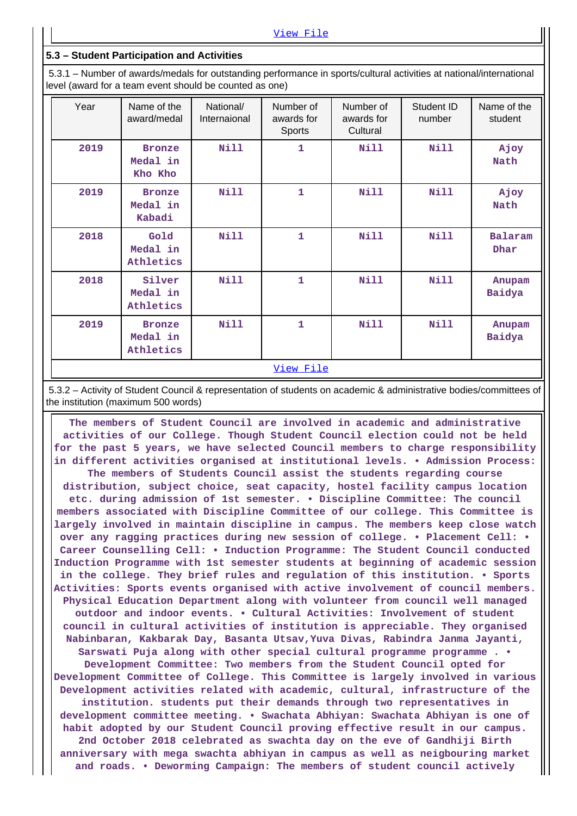#### **5.3 – Student Participation and Activities**

 5.3.1 – Number of awards/medals for outstanding performance in sports/cultural activities at national/international level (award for a team event should be counted as one)

| Year | Name of the<br>award/medal             | National/<br>Internaional | Number of<br>awards for<br>Sports | Number of<br>awards for<br>Cultural | Student ID<br>number | Name of the<br>student |
|------|----------------------------------------|---------------------------|-----------------------------------|-------------------------------------|----------------------|------------------------|
| 2019 | <b>Bronze</b><br>Medal in<br>Kho Kho   | <b>Nill</b>               | 1                                 | Nill                                | Nill                 | Ajoy<br>Nath           |
| 2019 | <b>Bronze</b><br>Medal in<br>Kabadi    | <b>Nill</b>               | 1                                 | <b>Nill</b>                         | <b>Nill</b>          | Ajoy<br>Nath           |
| 2018 | Gold<br>Medal in<br>Athletics          | <b>Nill</b>               | 1                                 | Nill                                | Nill                 | Balaram<br>Dhar        |
| 2018 | Silver<br>Medal in<br>Athletics        | <b>Nill</b>               | 1                                 | Nill                                | Nill                 | Anupam<br>Baidya       |
| 2019 | <b>Bronze</b><br>Medal in<br>Athletics | <b>Nill</b>               | 1                                 | Nill                                | Nill                 | Anupam<br>Baidya       |
|      |                                        |                           | View File                         |                                     |                      |                        |

 5.3.2 – Activity of Student Council & representation of students on academic & administrative bodies/committees of the institution (maximum 500 words)

 **The members of Student Council are involved in academic and administrative activities of our College. Though Student Council election could not be held for the past 5 years, we have selected Council members to charge responsibility in different activities organised at institutional levels. • Admission Process: The members of Students Council assist the students regarding course distribution, subject choice, seat capacity, hostel facility campus location etc. during admission of 1st semester. • Discipline Committee: The council members associated with Discipline Committee of our college. This Committee is largely involved in maintain discipline in campus. The members keep close watch over any ragging practices during new session of college. • Placement Cell: • Career Counselling Cell: • Induction Programme: The Student Council conducted Induction Programme with 1st semester students at beginning of academic session in the college. They brief rules and regulation of this institution. • Sports Activities: Sports events organised with active involvement of council members. Physical Education Department along with volunteer from council well managed outdoor and indoor events. • Cultural Activities: Involvement of student council in cultural activities of institution is appreciable. They organised Nabinbaran, Kakbarak Day, Basanta Utsav,Yuva Divas, Rabindra Janma Jayanti, Sarswati Puja along with other special cultural programme programme . • Development Committee: Two members from the Student Council opted for Development Committee of College. This Committee is largely involved in various Development activities related with academic, cultural, infrastructure of the institution. students put their demands through two representatives in development committee meeting. • Swachata Abhiyan: Swachata Abhiyan is one of habit adopted by our Student Council proving effective result in our campus. 2nd October 2018 celebrated as swachta day on the eve of Gandhiji Birth anniversary with mega swachta abhiyan in campus as well as neigbouring market and roads. • Deworming Campaign: The members of student council actively**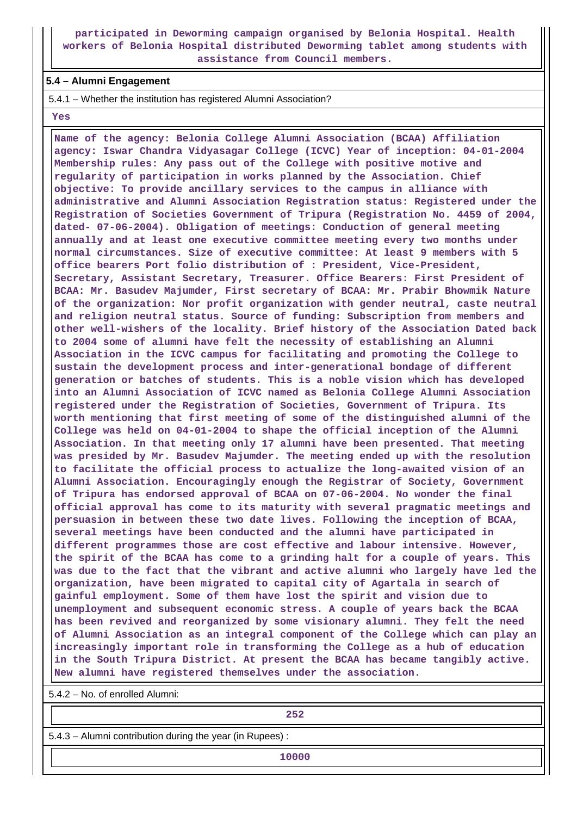**participated in Deworming campaign organised by Belonia Hospital. Health workers of Belonia Hospital distributed Deworming tablet among students with assistance from Council members.**

#### **5.4 – Alumni Engagement**

5.4.1 – Whether the institution has registered Alumni Association?

 **Yes**

 **Name of the agency: Belonia College Alumni Association (BCAA) Affiliation agency: Iswar Chandra Vidyasagar College (ICVC) Year of inception: 04-01-2004 Membership rules: Any pass out of the College with positive motive and regularity of participation in works planned by the Association. Chief objective: To provide ancillary services to the campus in alliance with administrative and Alumni Association Registration status: Registered under the Registration of Societies Government of Tripura (Registration No. 4459 of 2004, dated- 07-06-2004). Obligation of meetings: Conduction of general meeting annually and at least one executive committee meeting every two months under normal circumstances. Size of executive committee: At least 9 members with 5 office bearers Port folio distribution of : President, Vice-President, Secretary, Assistant Secretary, Treasurer. Office Bearers: First President of BCAA: Mr. Basudev Majumder, First secretary of BCAA: Mr. Prabir Bhowmik Nature of the organization: Nor profit organization with gender neutral, caste neutral and religion neutral status. Source of funding: Subscription from members and other well-wishers of the locality. Brief history of the Association Dated back to 2004 some of alumni have felt the necessity of establishing an Alumni Association in the ICVC campus for facilitating and promoting the College to sustain the development process and inter-generational bondage of different generation or batches of students. This is a noble vision which has developed into an Alumni Association of ICVC named as Belonia College Alumni Association registered under the Registration of Societies, Government of Tripura. Its worth mentioning that first meeting of some of the distinguished alumni of the College was held on 04-01-2004 to shape the official inception of the Alumni Association. In that meeting only 17 alumni have been presented. That meeting was presided by Mr. Basudev Majumder. The meeting ended up with the resolution to facilitate the official process to actualize the long-awaited vision of an Alumni Association. Encouragingly enough the Registrar of Society, Government of Tripura has endorsed approval of BCAA on 07-06-2004. No wonder the final official approval has come to its maturity with several pragmatic meetings and persuasion in between these two date lives. Following the inception of BCAA, several meetings have been conducted and the alumni have participated in different programmes those are cost effective and labour intensive. However, the spirit of the BCAA has come to a grinding halt for a couple of years. This was due to the fact that the vibrant and active alumni who largely have led the organization, have been migrated to capital city of Agartala in search of gainful employment. Some of them have lost the spirit and vision due to unemployment and subsequent economic stress. A couple of years back the BCAA has been revived and reorganized by some visionary alumni. They felt the need of Alumni Association as an integral component of the College which can play an increasingly important role in transforming the College as a hub of education in the South Tripura District. At present the BCAA has became tangibly active. New alumni have registered themselves under the association.**

5.4.2 – No. of enrolled Alumni:

**252**<br>252

5.4.3 – Alumni contribution during the year (in Rupees) :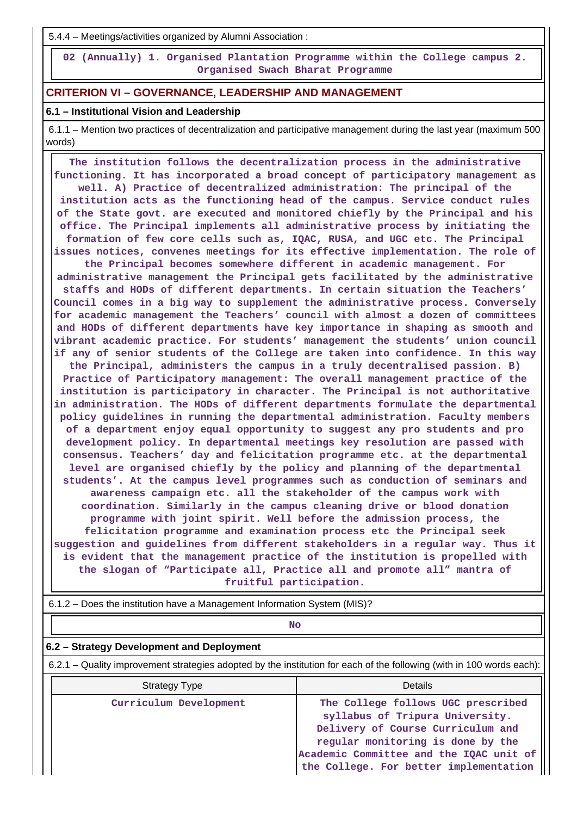5.4.4 – Meetings/activities organized by Alumni Association :

 **02 (Annually) 1. Organised Plantation Programme within the College campus 2. Organised Swach Bharat Programme**

## **CRITERION VI – GOVERNANCE, LEADERSHIP AND MANAGEMENT**

#### **6.1 – Institutional Vision and Leadership**

 6.1.1 – Mention two practices of decentralization and participative management during the last year (maximum 500 words)

 **The institution follows the decentralization process in the administrative functioning. It has incorporated a broad concept of participatory management as well. A) Practice of decentralized administration: The principal of the institution acts as the functioning head of the campus. Service conduct rules of the State govt. are executed and monitored chiefly by the Principal and his office. The Principal implements all administrative process by initiating the formation of few core cells such as, IQAC, RUSA, and UGC etc. The Principal issues notices, convenes meetings for its effective implementation. The role of**

**the Principal becomes somewhere different in academic management. For administrative management the Principal gets facilitated by the administrative staffs and HODs of different departments. In certain situation the Teachers' Council comes in a big way to supplement the administrative process. Conversely for academic management the Teachers' council with almost a dozen of committees and HODs of different departments have key importance in shaping as smooth and vibrant academic practice. For students' management the students' union council if any of senior students of the College are taken into confidence. In this way the Principal, administers the campus in a truly decentralised passion. B) Practice of Participatory management: The overall management practice of the institution is participatory in character. The Principal is not authoritative in administration. The HODs of different departments formulate the departmental policy guidelines in running the departmental administration. Faculty members of a department enjoy equal opportunity to suggest any pro students and pro development policy. In departmental meetings key resolution are passed with consensus. Teachers' day and felicitation programme etc. at the departmental level are organised chiefly by the policy and planning of the departmental students'. At the campus level programmes such as conduction of seminars and awareness campaign etc. all the stakeholder of the campus work with coordination. Similarly in the campus cleaning drive or blood donation programme with joint spirit. Well before the admission process, the felicitation programme and examination process etc the Principal seek suggestion and guidelines from different stakeholders in a regular way. Thus it is evident that the management practice of the institution is propelled with the slogan of "Participate all, Practice all and promote all" mantra of fruitful participation.**

6.1.2 – Does the institution have a Management Information System (MIS)?

**No. 2. In the case of the case of the case of the case of the case of the case of the case of the case of the case of the case of the case of the case of the case of the case of the case of the case of the case of the cas** 

#### **6.2 – Strategy Development and Deployment**

6.2.1 – Quality improvement strategies adopted by the institution for each of the following (with in 100 words each):

| <b>Strategy Type</b>   | Details                                                                                                                                                                                                                              |
|------------------------|--------------------------------------------------------------------------------------------------------------------------------------------------------------------------------------------------------------------------------------|
| Curriculum Development | The College follows UGC prescribed<br>syllabus of Tripura University.<br>Delivery of Course Curriculum and<br>regular monitoring is done by the<br>Academic Committee and the IQAC unit of<br>the College. For better implementation |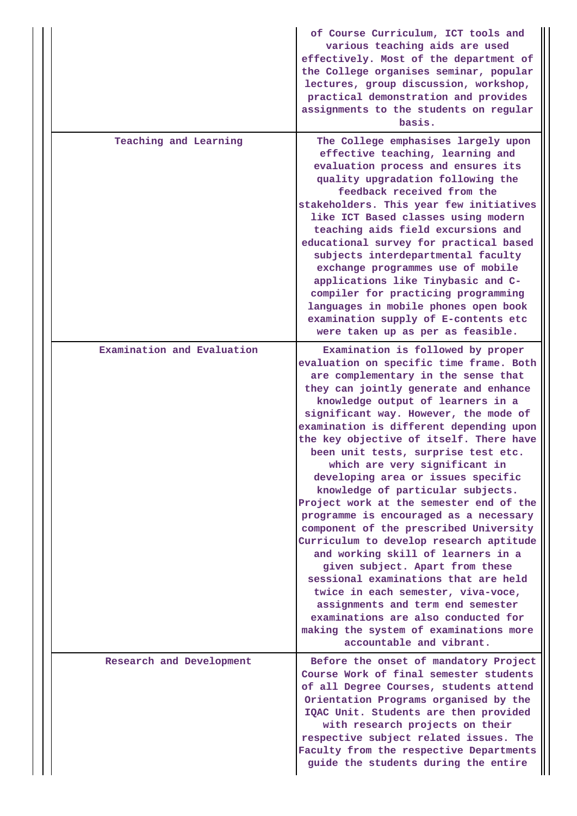|                            | of Course Curriculum, ICT tools and<br>various teaching aids are used<br>effectively. Most of the department of<br>the College organises seminar, popular<br>lectures, group discussion, workshop,<br>practical demonstration and provides<br>assignments to the students on regular<br>basis.                                                                                                                                                                                                                                                                                                                                                                                                                                                                                                                                                                                                                                                                         |
|----------------------------|------------------------------------------------------------------------------------------------------------------------------------------------------------------------------------------------------------------------------------------------------------------------------------------------------------------------------------------------------------------------------------------------------------------------------------------------------------------------------------------------------------------------------------------------------------------------------------------------------------------------------------------------------------------------------------------------------------------------------------------------------------------------------------------------------------------------------------------------------------------------------------------------------------------------------------------------------------------------|
| Teaching and Learning      | The College emphasises largely upon<br>effective teaching, learning and<br>evaluation process and ensures its<br>quality upgradation following the<br>feedback received from the<br>stakeholders. This year few initiatives<br>like ICT Based classes using modern<br>teaching aids field excursions and<br>educational survey for practical based<br>subjects interdepartmental faculty<br>exchange programmes use of mobile<br>applications like Tinybasic and C-<br>compiler for practicing programming<br>languages in mobile phones open book<br>examination supply of E-contents etc<br>were taken up as per as feasible.                                                                                                                                                                                                                                                                                                                                        |
| Examination and Evaluation | Examination is followed by proper<br>evaluation on specific time frame. Both<br>are complementary in the sense that<br>they can jointly generate and enhance<br>knowledge output of learners in a<br>significant way. However, the mode of<br>examination is different depending upon<br>the key objective of itself. There have<br>been unit tests, surprise test etc.<br>which are very significant in<br>developing area or issues specific<br>knowledge of particular subjects.<br>Project work at the semester end of the<br>programme is encouraged as a necessary<br>component of the prescribed University<br>Curriculum to develop research aptitude<br>and working skill of learners in a<br>given subject. Apart from these<br>sessional examinations that are held<br>twice in each semester, viva-voce,<br>assignments and term end semester<br>examinations are also conducted for<br>making the system of examinations more<br>accountable and vibrant. |
| Research and Development   | Before the onset of mandatory Project<br>Course Work of final semester students<br>of all Degree Courses, students attend<br>Orientation Programs organised by the<br>IQAC Unit. Students are then provided<br>with research projects on their<br>respective subject related issues. The<br>Faculty from the respective Departments<br>guide the students during the entire                                                                                                                                                                                                                                                                                                                                                                                                                                                                                                                                                                                            |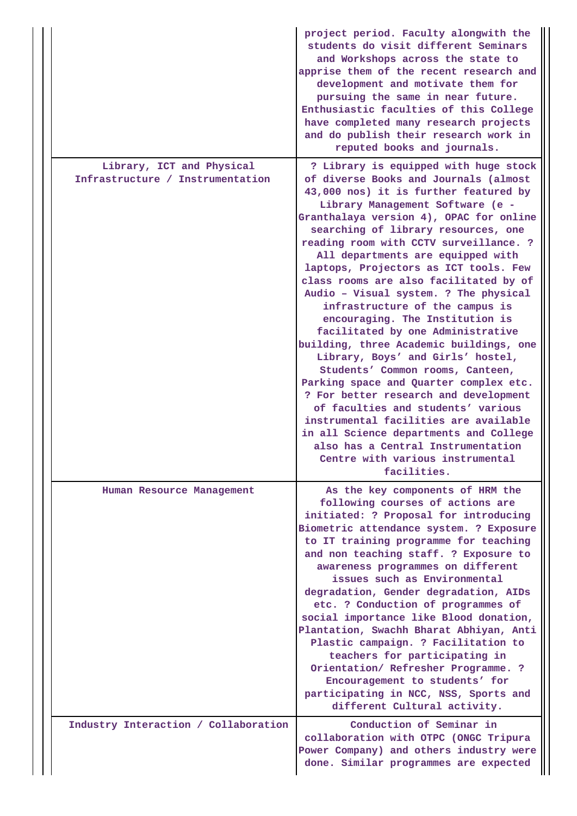|                                                               | project period. Faculty alongwith the<br>students do visit different Seminars<br>and Workshops across the state to<br>apprise them of the recent research and<br>development and motivate them for<br>pursuing the same in near future.<br>Enthusiastic faculties of this College<br>have completed many research projects<br>and do publish their research work in<br>reputed books and journals.                                                                                                                                                                                                                                                                                                                                                                                                                                                                                                                                                                                           |
|---------------------------------------------------------------|----------------------------------------------------------------------------------------------------------------------------------------------------------------------------------------------------------------------------------------------------------------------------------------------------------------------------------------------------------------------------------------------------------------------------------------------------------------------------------------------------------------------------------------------------------------------------------------------------------------------------------------------------------------------------------------------------------------------------------------------------------------------------------------------------------------------------------------------------------------------------------------------------------------------------------------------------------------------------------------------|
| Library, ICT and Physical<br>Infrastructure / Instrumentation | ? Library is equipped with huge stock<br>of diverse Books and Journals (almost<br>43,000 nos) it is further featured by<br>Library Management Software (e -<br>Granthalaya version 4), OPAC for online<br>searching of library resources, one<br>reading room with CCTV surveillance. ?<br>All departments are equipped with<br>laptops, Projectors as ICT tools. Few<br>class rooms are also facilitated by of<br>Audio - Visual system. ? The physical<br>infrastructure of the campus is<br>encouraging. The Institution is<br>facilitated by one Administrative<br>building, three Academic buildings, one<br>Library, Boys' and Girls' hostel,<br>Students' Common rooms, Canteen,<br>Parking space and Quarter complex etc.<br>? For better research and development<br>of faculties and students' various<br>instrumental facilities are available<br>in all Science departments and College<br>also has a Central Instrumentation<br>Centre with various instrumental<br>facilities. |
| Human Resource Management                                     | As the key components of HRM the<br>following courses of actions are<br>initiated: ? Proposal for introducing<br>Biometric attendance system. ? Exposure<br>to IT training programme for teaching<br>and non teaching staff. ? Exposure to<br>awareness programmes on different<br>issues such as Environmental<br>degradation, Gender degradation, AIDs<br>etc. ? Conduction of programmes of<br>social importance like Blood donation,<br>Plantation, Swachh Bharat Abhiyan, Anti<br>Plastic campaign. ? Facilitation to<br>teachers for participating in<br>Orientation/ Refresher Programme. ?<br>Encouragement to students' for<br>participating in NCC, NSS, Sports and<br>different Cultural activity.                                                                                                                                                                                                                                                                                |
| Industry Interaction / Collaboration                          | Conduction of Seminar in<br>collaboration with OTPC (ONGC Tripura<br>Power Company) and others industry were<br>done. Similar programmes are expected                                                                                                                                                                                                                                                                                                                                                                                                                                                                                                                                                                                                                                                                                                                                                                                                                                        |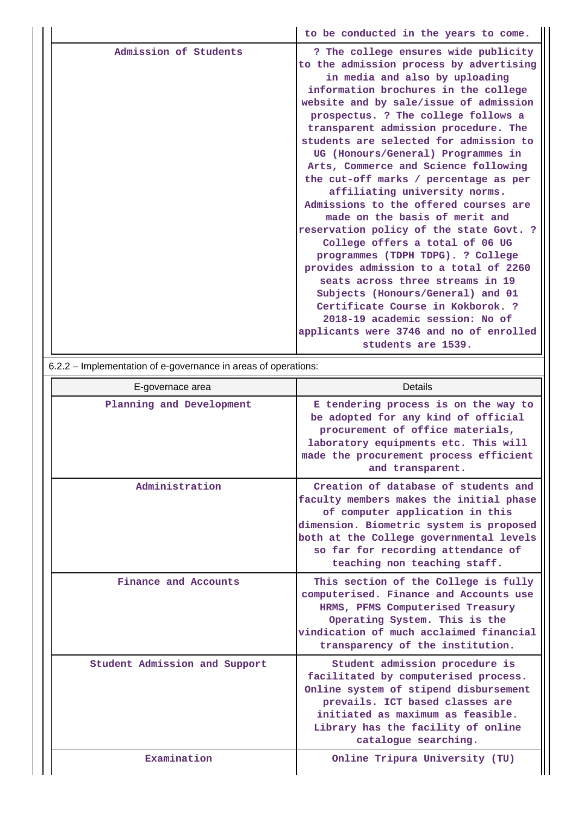|                       | to be conducted in the years to come.                                                                                                                                                                                                                                                                                                                                                                                                                                                                                                                                                                                                                                                                                                                           |
|-----------------------|-----------------------------------------------------------------------------------------------------------------------------------------------------------------------------------------------------------------------------------------------------------------------------------------------------------------------------------------------------------------------------------------------------------------------------------------------------------------------------------------------------------------------------------------------------------------------------------------------------------------------------------------------------------------------------------------------------------------------------------------------------------------|
| Admission of Students | ? The college ensures wide publicity<br>to the admission process by advertising<br>in media and also by uploading<br>information brochures in the college<br>website and by sale/issue of admission<br>prospectus. ? The college follows a<br>transparent admission procedure. The<br>students are selected for admission to<br>UG (Honours/General) Programmes in<br>Arts, Commerce and Science following<br>the cut-off marks / percentage as per<br>affiliating university norms.<br>Admissions to the offered courses are<br>made on the basis of merit and<br>reservation policy of the state Govt. ?<br>College offers a total of 06 UG<br>programmes (TDPH TDPG). ? College<br>provides admission to a total of 2260<br>seats across three streams in 19 |
|                       | Subjects (Honours/General) and 01<br>Certificate Course in Kokborok. ?                                                                                                                                                                                                                                                                                                                                                                                                                                                                                                                                                                                                                                                                                          |
|                       | 2018-19 academic session: No of                                                                                                                                                                                                                                                                                                                                                                                                                                                                                                                                                                                                                                                                                                                                 |
|                       | applicants were 3746 and no of enrolled<br>students are 1539.                                                                                                                                                                                                                                                                                                                                                                                                                                                                                                                                                                                                                                                                                                   |

6.2.2 – Implementation of e-governance in areas of operations:

| E-governace area              | Details                                                                                                                                                                                                                                                                        |
|-------------------------------|--------------------------------------------------------------------------------------------------------------------------------------------------------------------------------------------------------------------------------------------------------------------------------|
| Planning and Development      | E tendering process is on the way to<br>be adopted for any kind of official<br>procurement of office materials,<br>laboratory equipments etc. This will<br>made the procurement process efficient<br>and transparent.                                                          |
| Administration                | Creation of database of students and<br>faculty members makes the initial phase<br>of computer application in this<br>dimension. Biometric system is proposed<br>both at the College governmental levels<br>so far for recording attendance of<br>teaching non teaching staff. |
| Finance and Accounts          | This section of the College is fully<br>computerised. Finance and Accounts use<br>HRMS, PFMS Computerised Treasury<br>Operating System. This is the<br>vindication of much acclaimed financial<br>transparency of the institution.                                             |
| Student Admission and Support | Student admission procedure is<br>facilitated by computerised process.<br>Online system of stipend disbursement<br>prevails. ICT based classes are<br>initiated as maximum as feasible.<br>Library has the facility of online<br>catalogue searching.                          |
| Examination                   | Online Tripura University (TU)                                                                                                                                                                                                                                                 |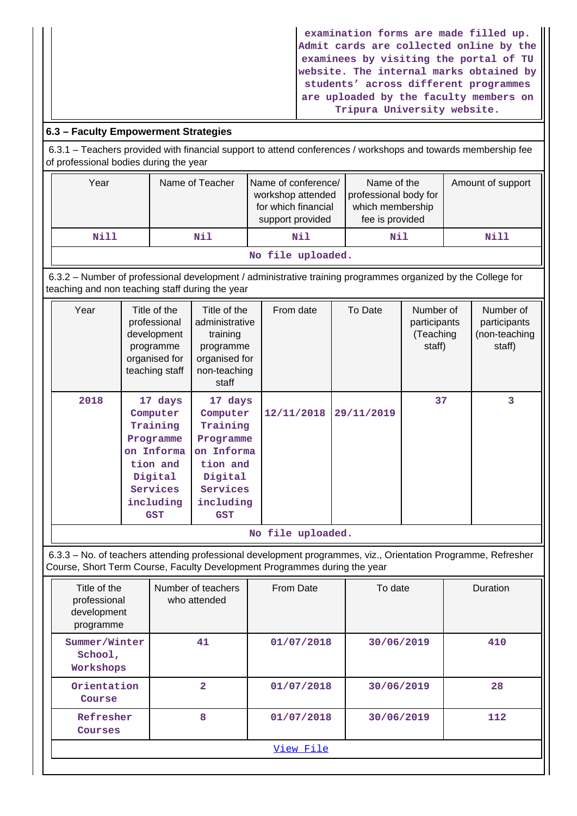**examination forms are made filled up. Admit cards are collected online by the examinees by visiting the portal of TU website. The internal marks obtained by students' across different programmes are uploaded by the faculty members on Tripura University website.**

# **6.3 – Faculty Empowerment Strategies**

 6.3.1 – Teachers provided with financial support to attend conferences / workshops and towards membership fee of professional bodies during the year

| Year              | Name of Teacher | Name of conference/<br>workshop attended<br>for which financial<br>support provided | Name of the<br>professional body for<br>which membership<br>fee is provided | Amount of support |  |  |  |
|-------------------|-----------------|-------------------------------------------------------------------------------------|-----------------------------------------------------------------------------|-------------------|--|--|--|
| Nill              | Nil             |                                                                                     | Nil                                                                         | Nill              |  |  |  |
| No file uploaded. |                 |                                                                                     |                                                                             |                   |  |  |  |

 6.3.2 – Number of professional development / administrative training programmes organized by the College for teaching and non teaching staff during the year

| Year | Title of the<br>professional<br>development<br>programme<br>organised for<br>teaching staff                              | Title of the<br>administrative<br>training<br>programme<br>organised for<br>non-teaching<br>staff                 | From date  | To Date    | Number of<br>participants<br>(Teaching<br>staff) | Number of<br>participants<br>(non-teaching<br>staff) |
|------|--------------------------------------------------------------------------------------------------------------------------|-------------------------------------------------------------------------------------------------------------------|------------|------------|--------------------------------------------------|------------------------------------------------------|
| 2018 | 17 days<br>Computer<br>Training<br>Programme<br>on Informa<br>tion and<br>Digital<br>Services<br>including<br><b>GST</b> | 17 days<br>Computer<br>Training<br>Programme<br>on Informa<br>tion and<br>Digital<br>Services<br>including<br>GST | 12/11/2018 | 29/11/2019 | 37                                               | 3                                                    |

**No file uploaded.**

 6.3.3 – No. of teachers attending professional development programmes, viz., Orientation Programme, Refresher Course, Short Term Course, Faculty Development Programmes during the year

| Title of the<br>professional<br>development<br>programme | Number of teachers<br>who attended | From Date  | To date    | Duration |  |  |  |
|----------------------------------------------------------|------------------------------------|------------|------------|----------|--|--|--|
| Summer/Winter<br>School,<br>Workshops                    | 41                                 | 01/07/2018 | 30/06/2019 | 410      |  |  |  |
| Orientation<br>Course                                    | $\overline{a}$                     | 01/07/2018 | 30/06/2019 | 28       |  |  |  |
| Refresher<br>Courses                                     | 8                                  | 01/07/2018 | 30/06/2019 | 112      |  |  |  |
| View File                                                |                                    |            |            |          |  |  |  |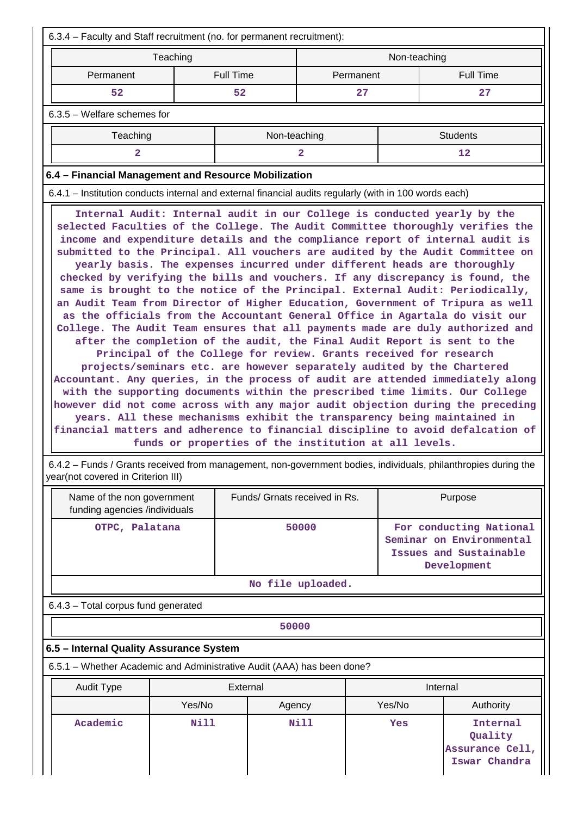| 6.3.4 – Faculty and Staff recruitment (no. for permanent recruitment):                                                                                                                                                                                                                                                                                                                                                                                                                                                                                                                                                                                                                                                                                                                                                                                                                                                                                                                                                                                                                                                                                                                                                                                                                                                                                                                                                                                                                                                |                                                       |              |  |                  |  |  |  |
|-----------------------------------------------------------------------------------------------------------------------------------------------------------------------------------------------------------------------------------------------------------------------------------------------------------------------------------------------------------------------------------------------------------------------------------------------------------------------------------------------------------------------------------------------------------------------------------------------------------------------------------------------------------------------------------------------------------------------------------------------------------------------------------------------------------------------------------------------------------------------------------------------------------------------------------------------------------------------------------------------------------------------------------------------------------------------------------------------------------------------------------------------------------------------------------------------------------------------------------------------------------------------------------------------------------------------------------------------------------------------------------------------------------------------------------------------------------------------------------------------------------------------|-------------------------------------------------------|--------------|--|------------------|--|--|--|
| Teaching                                                                                                                                                                                                                                                                                                                                                                                                                                                                                                                                                                                                                                                                                                                                                                                                                                                                                                                                                                                                                                                                                                                                                                                                                                                                                                                                                                                                                                                                                                              |                                                       | Non-teaching |  |                  |  |  |  |
| Permanent                                                                                                                                                                                                                                                                                                                                                                                                                                                                                                                                                                                                                                                                                                                                                                                                                                                                                                                                                                                                                                                                                                                                                                                                                                                                                                                                                                                                                                                                                                             | <b>Full Time</b>                                      | Permanent    |  | <b>Full Time</b> |  |  |  |
| 52                                                                                                                                                                                                                                                                                                                                                                                                                                                                                                                                                                                                                                                                                                                                                                                                                                                                                                                                                                                                                                                                                                                                                                                                                                                                                                                                                                                                                                                                                                                    | 52                                                    | 27           |  | 27               |  |  |  |
| $6.3.5$ – Welfare schemes for                                                                                                                                                                                                                                                                                                                                                                                                                                                                                                                                                                                                                                                                                                                                                                                                                                                                                                                                                                                                                                                                                                                                                                                                                                                                                                                                                                                                                                                                                         |                                                       |              |  |                  |  |  |  |
| Teaching                                                                                                                                                                                                                                                                                                                                                                                                                                                                                                                                                                                                                                                                                                                                                                                                                                                                                                                                                                                                                                                                                                                                                                                                                                                                                                                                                                                                                                                                                                              | Non-teaching                                          |              |  | <b>Students</b>  |  |  |  |
| 2                                                                                                                                                                                                                                                                                                                                                                                                                                                                                                                                                                                                                                                                                                                                                                                                                                                                                                                                                                                                                                                                                                                                                                                                                                                                                                                                                                                                                                                                                                                     |                                                       | 2            |  | 12               |  |  |  |
| 6.4 - Financial Management and Resource Mobilization                                                                                                                                                                                                                                                                                                                                                                                                                                                                                                                                                                                                                                                                                                                                                                                                                                                                                                                                                                                                                                                                                                                                                                                                                                                                                                                                                                                                                                                                  |                                                       |              |  |                  |  |  |  |
| 6.4.1 – Institution conducts internal and external financial audits regularly (with in 100 words each)                                                                                                                                                                                                                                                                                                                                                                                                                                                                                                                                                                                                                                                                                                                                                                                                                                                                                                                                                                                                                                                                                                                                                                                                                                                                                                                                                                                                                |                                                       |              |  |                  |  |  |  |
| selected Faculties of the College. The Audit Committee thoroughly verifies the<br>income and expenditure details and the compliance report of internal audit is<br>submitted to the Principal. All vouchers are audited by the Audit Committee on<br>yearly basis. The expenses incurred under different heads are thoroughly<br>checked by verifying the bills and vouchers. If any discrepancy is found, the<br>same is brought to the notice of the Principal. External Audit: Periodically,<br>an Audit Team from Director of Higher Education, Government of Tripura as well<br>as the officials from the Accountant General Office in Agartala do visit our<br>College. The Audit Team ensures that all payments made are duly authorized and<br>after the completion of the audit, the Final Audit Report is sent to the<br>Principal of the College for review. Grants received for research<br>projects/seminars etc. are however separately audited by the Chartered<br>Accountant. Any queries, in the process of audit are attended immediately along<br>with the supporting documents within the prescribed time limits. Our College<br>however did not come across with any major audit objection during the preceding<br>years. All these mechanisms exhibit the transparency being maintained in<br>financial matters and adherence to financial discipline to avoid defalcation of<br>6.4.2 – Funds / Grants received from management, non-government bodies, individuals, philanthropies during the | funds or properties of the institution at all levels. |              |  |                  |  |  |  |

year(not covered in Criterion III)

| Name of the non government<br>funding agencies /individuals | Funds/ Grnats received in Rs. | Purpose                                                                                      |
|-------------------------------------------------------------|-------------------------------|----------------------------------------------------------------------------------------------|
| OTPC, Palatana                                              | 50000                         | For conducting National<br>Seminar on Environmental<br>Issues and Sustainable<br>Development |
|                                                             | No file uploaded.             |                                                                                              |

6.4.3 – Total corpus fund generated

**50000**

# **6.5 – Internal Quality Assurance System**

6.5.1 – Whether Academic and Administrative Audit (AAA) has been done?

| Audit Type | External         |      | Internal |                                                         |  |
|------------|------------------|------|----------|---------------------------------------------------------|--|
|            | Yes/No<br>Agency |      | Yes/No   | Authority                                               |  |
| Academic   | Nill             | Nill | Yes      | Internal<br>Quality<br>Assurance Cell,<br>Iswar Chandra |  |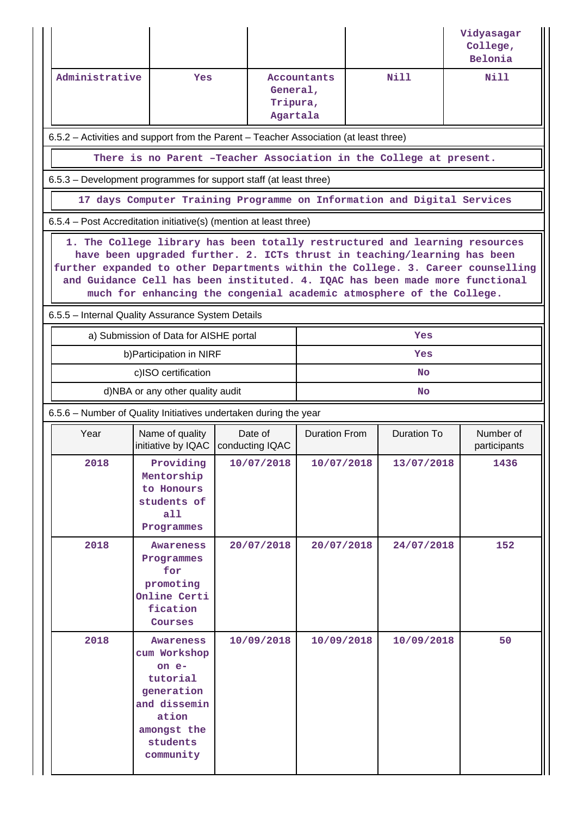|                                                                                                                                                                                                                                                                                                                                                                                                    |                                                                                       |                                                                  |                      |                                                                         | Vidyasagar<br>College,<br>Belonia |  |  |  |
|----------------------------------------------------------------------------------------------------------------------------------------------------------------------------------------------------------------------------------------------------------------------------------------------------------------------------------------------------------------------------------------------------|---------------------------------------------------------------------------------------|------------------------------------------------------------------|----------------------|-------------------------------------------------------------------------|-----------------------------------|--|--|--|
| Administrative<br><b>Yes</b><br>Agartala                                                                                                                                                                                                                                                                                                                                                           |                                                                                       | Nill<br>Accountants<br>General,<br>Tripura,                      |                      | Nill                                                                    |                                   |  |  |  |
|                                                                                                                                                                                                                                                                                                                                                                                                    | 6.5.2 - Activities and support from the Parent - Teacher Association (at least three) |                                                                  |                      |                                                                         |                                   |  |  |  |
|                                                                                                                                                                                                                                                                                                                                                                                                    |                                                                                       |                                                                  |                      | There is no Parent -Teacher Association in the College at present.      |                                   |  |  |  |
|                                                                                                                                                                                                                                                                                                                                                                                                    | 6.5.3 – Development programmes for support staff (at least three)                     |                                                                  |                      |                                                                         |                                   |  |  |  |
|                                                                                                                                                                                                                                                                                                                                                                                                    |                                                                                       |                                                                  |                      | 17 days Computer Training Programme on Information and Digital Services |                                   |  |  |  |
| 6.5.4 – Post Accreditation initiative(s) (mention at least three)                                                                                                                                                                                                                                                                                                                                  |                                                                                       |                                                                  |                      |                                                                         |                                   |  |  |  |
| 1. The College library has been totally restructured and learning resources<br>have been upgraded further. 2. ICTs thrust in teaching/learning has been<br>further expanded to other Departments within the College. 3. Career counselling<br>and Guidance Cell has been instituted. 4. IQAC has been made more functional<br>much for enhancing the congenial academic atmosphere of the College. |                                                                                       |                                                                  |                      |                                                                         |                                   |  |  |  |
| 6.5.5 - Internal Quality Assurance System Details                                                                                                                                                                                                                                                                                                                                                  |                                                                                       |                                                                  |                      |                                                                         |                                   |  |  |  |
|                                                                                                                                                                                                                                                                                                                                                                                                    | a) Submission of Data for AISHE portal                                                |                                                                  |                      | Yes                                                                     |                                   |  |  |  |
|                                                                                                                                                                                                                                                                                                                                                                                                    | b) Participation in NIRF                                                              |                                                                  | Yes                  |                                                                         |                                   |  |  |  |
|                                                                                                                                                                                                                                                                                                                                                                                                    | c)ISO certification                                                                   |                                                                  | <b>No</b>            |                                                                         |                                   |  |  |  |
|                                                                                                                                                                                                                                                                                                                                                                                                    | d)NBA or any other quality audit                                                      |                                                                  | No                   |                                                                         |                                   |  |  |  |
|                                                                                                                                                                                                                                                                                                                                                                                                    |                                                                                       |                                                                  |                      |                                                                         |                                   |  |  |  |
|                                                                                                                                                                                                                                                                                                                                                                                                    |                                                                                       | 6.5.6 - Number of Quality Initiatives undertaken during the year |                      |                                                                         |                                   |  |  |  |
| Year                                                                                                                                                                                                                                                                                                                                                                                               | Name of quality<br>initiative by IQAC   conducting IQAC                               | Date of                                                          | <b>Duration From</b> | <b>Duration To</b>                                                      | Number of<br>participants         |  |  |  |
| 2018                                                                                                                                                                                                                                                                                                                                                                                               | Providing<br>Mentorship<br>to Honours<br>students of<br>a11<br>Programmes             | 10/07/2018                                                       | 10/07/2018           | 13/07/2018                                                              | 1436                              |  |  |  |
| 2018                                                                                                                                                                                                                                                                                                                                                                                               | Awareness<br>Programmes<br>for<br>promoting<br>Online Certi<br>fication<br>Courses    | 20/07/2018                                                       | 20/07/2018           | 24/07/2018                                                              | 152                               |  |  |  |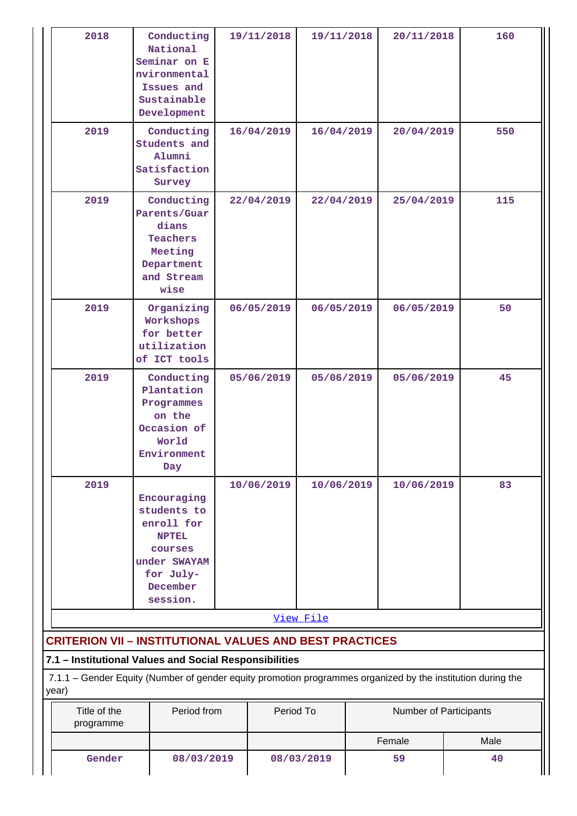| 2018                      | Conducting<br>National<br>Seminar on E<br>nvironmental<br>Issues and<br>Sustainable<br>Development                                                                    | 19/11/2018               | 19/11/2018 |    | 20/11/2018             | 160  |  |
|---------------------------|-----------------------------------------------------------------------------------------------------------------------------------------------------------------------|--------------------------|------------|----|------------------------|------|--|
| 2019                      | Conducting<br>Students and<br>Alumni<br>Satisfaction<br>Survey                                                                                                        | 16/04/2019               | 16/04/2019 |    | 20/04/2019             | 550  |  |
| 2019                      | Conducting<br>Parents/Guar<br>dians<br>Teachers<br>Meeting<br>Department<br>and Stream<br>wise                                                                        | 22/04/2019<br>22/04/2019 |            |    | 25/04/2019             | 115  |  |
| 2019                      | Organizing<br>Workshops<br>for better<br>utilization<br>of ICT tools                                                                                                  | 06/05/2019               | 06/05/2019 |    | 06/05/2019             | 50   |  |
| 2019                      | Conducting<br>Plantation<br>Programmes<br>on the<br>Occasion of<br>World<br>Environment<br>Day                                                                        | 05/06/2019               | 05/06/2019 |    | 05/06/2019             | 45   |  |
| 2019                      | Encouraging<br>students to<br>enroll for<br><b>NPTEL</b><br>courses<br>under SWAYAM<br>for July-<br>December<br>session.                                              | 10/06/2019               | 10/06/2019 |    | 10/06/2019             | 83   |  |
|                           |                                                                                                                                                                       |                          | View File  |    |                        |      |  |
|                           | <b>CRITERION VII - INSTITUTIONAL VALUES AND BEST PRACTICES</b>                                                                                                        |                          |            |    |                        |      |  |
|                           | 7.1 - Institutional Values and Social Responsibilities<br>7.1.1 - Gender Equity (Number of gender equity promotion programmes organized by the institution during the |                          |            |    |                        |      |  |
| year)                     |                                                                                                                                                                       |                          |            |    |                        |      |  |
| Title of the<br>programme | Period from                                                                                                                                                           | Period To                |            |    | Number of Participants |      |  |
|                           |                                                                                                                                                                       |                          |            |    | Female                 | Male |  |
| Gender                    | 08/03/2019                                                                                                                                                            |                          | 08/03/2019 | 59 |                        | 40   |  |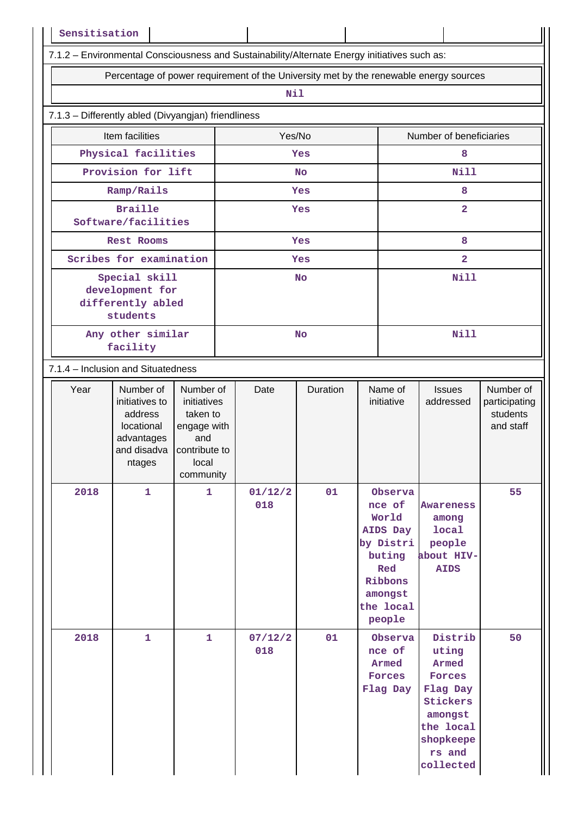| Sensitisation |                                                                                                               |                                                                                  |           |                |           |             |                                                                                                                   |                                                                                                                                |                                                     |
|---------------|---------------------------------------------------------------------------------------------------------------|----------------------------------------------------------------------------------|-----------|----------------|-----------|-------------|-------------------------------------------------------------------------------------------------------------------|--------------------------------------------------------------------------------------------------------------------------------|-----------------------------------------------------|
|               | 7.1.2 - Environmental Consciousness and Sustainability/Alternate Energy initiatives such as:                  |                                                                                  |           |                |           |             |                                                                                                                   |                                                                                                                                |                                                     |
|               | Percentage of power requirement of the University met by the renewable energy sources                         |                                                                                  |           |                |           |             |                                                                                                                   |                                                                                                                                |                                                     |
|               |                                                                                                               |                                                                                  |           | Nil            |           |             |                                                                                                                   |                                                                                                                                |                                                     |
|               | 7.1.3 - Differently abled (Divyangjan) friendliness                                                           |                                                                                  |           |                |           |             |                                                                                                                   |                                                                                                                                |                                                     |
|               | Item facilities                                                                                               |                                                                                  |           | Yes/No         |           |             |                                                                                                                   | Number of beneficiaries                                                                                                        |                                                     |
|               | Physical facilities                                                                                           |                                                                                  |           |                | Yes       |             |                                                                                                                   | 8                                                                                                                              |                                                     |
|               | Provision for lift                                                                                            |                                                                                  |           |                | <b>No</b> |             |                                                                                                                   | <b>Nill</b>                                                                                                                    |                                                     |
|               | Ramp/Rails                                                                                                    |                                                                                  |           |                | Yes       |             |                                                                                                                   | 8                                                                                                                              |                                                     |
|               | <b>Braille</b><br>Software/facilities                                                                         |                                                                                  |           |                | Yes       |             |                                                                                                                   | $\overline{\mathbf{2}}$                                                                                                        |                                                     |
|               | <b>Rest Rooms</b>                                                                                             |                                                                                  |           |                | Yes       |             |                                                                                                                   | 8                                                                                                                              |                                                     |
|               | Scribes for examination                                                                                       |                                                                                  |           |                | Yes       |             |                                                                                                                   | $\overline{2}$                                                                                                                 |                                                     |
|               | Special skill<br>development for<br>differently abled<br>students                                             |                                                                                  |           |                | <b>No</b> |             |                                                                                                                   | <b>Nill</b>                                                                                                                    |                                                     |
|               | Any other similar<br>facility                                                                                 |                                                                                  | <b>No</b> |                |           | <b>Nill</b> |                                                                                                                   |                                                                                                                                |                                                     |
|               | 7.1.4 – Inclusion and Situatedness                                                                            |                                                                                  |           |                |           |             |                                                                                                                   |                                                                                                                                |                                                     |
| Year          | Number of<br>initiatives to<br>address<br>locational<br>advantages<br>and disadva $ $ contribute to<br>ntages | Number of<br>initiatives<br>taken to<br>engage with<br>and<br>local<br>community |           | Date           | Duration  |             | Name of<br>initiative                                                                                             | <b>Issues</b><br>addressed                                                                                                     | Number of<br>participating<br>students<br>and staff |
| 2018          | $\mathbf{1}$                                                                                                  | $\mathbf{1}$                                                                     |           | 01/12/2<br>018 | 01        |             | Observa<br>nce of<br>World<br>AIDS Day<br>by Distri<br>buting<br>Red<br>Ribbons<br>amongst<br>the local<br>people | <b>Awareness</b><br>among<br>local<br>people<br>about HIV-<br><b>AIDS</b>                                                      | 55                                                  |
| 2018          | $\mathbf{1}$                                                                                                  | $\mathbf{1}$                                                                     |           | 07/12/2<br>018 | 01        |             | Observa<br>nce of<br>Armed<br>Forces<br>Flag Day                                                                  | Distrib<br>uting<br>Armed<br><b>Forces</b><br>Flag Day<br>Stickers<br>amongst<br>the local<br>shopkeepe<br>rs and<br>collected | 50                                                  |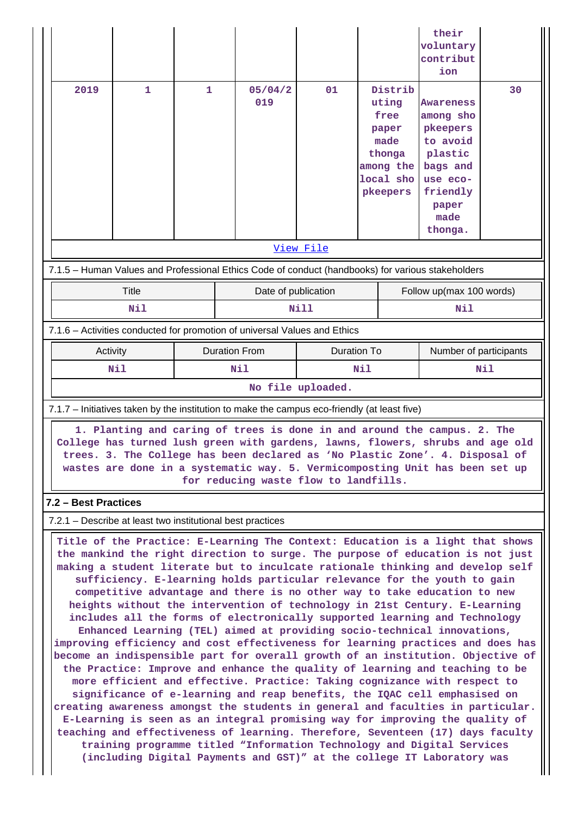|                                                                                                   |                                                                        |                      |                                                                                                                                                                                                                                                                                                                                                                                                                                                                                                                                                                                                                                                                                                                                                                                                                                                                                                                                                                                                                                                                                                                                                                                                                                                                                                                                                                                                  |             |                                                                                           |                        | their<br>voluntary<br>contribut<br>ion                                                                                    |    |
|---------------------------------------------------------------------------------------------------|------------------------------------------------------------------------|----------------------|--------------------------------------------------------------------------------------------------------------------------------------------------------------------------------------------------------------------------------------------------------------------------------------------------------------------------------------------------------------------------------------------------------------------------------------------------------------------------------------------------------------------------------------------------------------------------------------------------------------------------------------------------------------------------------------------------------------------------------------------------------------------------------------------------------------------------------------------------------------------------------------------------------------------------------------------------------------------------------------------------------------------------------------------------------------------------------------------------------------------------------------------------------------------------------------------------------------------------------------------------------------------------------------------------------------------------------------------------------------------------------------------------|-------------|-------------------------------------------------------------------------------------------|------------------------|---------------------------------------------------------------------------------------------------------------------------|----|
| 2019                                                                                              | 1                                                                      | 1                    | 05/04/2<br>019                                                                                                                                                                                                                                                                                                                                                                                                                                                                                                                                                                                                                                                                                                                                                                                                                                                                                                                                                                                                                                                                                                                                                                                                                                                                                                                                                                                   | 01          | Distrib<br>uting<br>free<br>paper<br>made<br>thonga<br>among the<br>local sho<br>pkeepers |                        | Awareness<br>among sho<br>pkeepers<br>to avoid<br>plastic<br>bags and<br>use eco-<br>friendly<br>paper<br>made<br>thonga. | 30 |
|                                                                                                   |                                                                        |                      |                                                                                                                                                                                                                                                                                                                                                                                                                                                                                                                                                                                                                                                                                                                                                                                                                                                                                                                                                                                                                                                                                                                                                                                                                                                                                                                                                                                                  | View File   |                                                                                           |                        |                                                                                                                           |    |
| 7.1.5 - Human Values and Professional Ethics Code of conduct (handbooks) for various stakeholders |                                                                        |                      |                                                                                                                                                                                                                                                                                                                                                                                                                                                                                                                                                                                                                                                                                                                                                                                                                                                                                                                                                                                                                                                                                                                                                                                                                                                                                                                                                                                                  |             |                                                                                           |                        |                                                                                                                           |    |
| Title                                                                                             |                                                                        | Date of publication  |                                                                                                                                                                                                                                                                                                                                                                                                                                                                                                                                                                                                                                                                                                                                                                                                                                                                                                                                                                                                                                                                                                                                                                                                                                                                                                                                                                                                  |             |                                                                                           |                        | Follow up(max 100 words)                                                                                                  |    |
|                                                                                                   | Nil                                                                    |                      | Nill                                                                                                                                                                                                                                                                                                                                                                                                                                                                                                                                                                                                                                                                                                                                                                                                                                                                                                                                                                                                                                                                                                                                                                                                                                                                                                                                                                                             |             |                                                                                           | Nil                    |                                                                                                                           |    |
| 7.1.6 – Activities conducted for promotion of universal Values and Ethics                         |                                                                        |                      |                                                                                                                                                                                                                                                                                                                                                                                                                                                                                                                                                                                                                                                                                                                                                                                                                                                                                                                                                                                                                                                                                                                                                                                                                                                                                                                                                                                                  |             |                                                                                           |                        |                                                                                                                           |    |
| Activity                                                                                          |                                                                        | <b>Duration From</b> |                                                                                                                                                                                                                                                                                                                                                                                                                                                                                                                                                                                                                                                                                                                                                                                                                                                                                                                                                                                                                                                                                                                                                                                                                                                                                                                                                                                                  | Duration To |                                                                                           | Number of participants |                                                                                                                           |    |
| Nil<br>Nil<br>Nil<br>Nil<br>No file uploaded.                                                     |                                                                        |                      |                                                                                                                                                                                                                                                                                                                                                                                                                                                                                                                                                                                                                                                                                                                                                                                                                                                                                                                                                                                                                                                                                                                                                                                                                                                                                                                                                                                                  |             |                                                                                           |                        |                                                                                                                           |    |
| 7.1.7 – Initiatives taken by the institution to make the campus eco-friendly (at least five)      |                                                                        |                      |                                                                                                                                                                                                                                                                                                                                                                                                                                                                                                                                                                                                                                                                                                                                                                                                                                                                                                                                                                                                                                                                                                                                                                                                                                                                                                                                                                                                  |             |                                                                                           |                        |                                                                                                                           |    |
| 7.2 - Best Practices                                                                              |                                                                        |                      | 1. Planting and caring of trees is done in and around the campus. 2. The<br>College has turned lush green with gardens, lawns, flowers, shrubs and age old<br>trees. 3. The College has been declared as 'No Plastic Zone'. 4. Disposal of<br>wastes are done in a systematic way. 5. Vermicomposting Unit has been set up<br>for reducing waste flow to landfills.                                                                                                                                                                                                                                                                                                                                                                                                                                                                                                                                                                                                                                                                                                                                                                                                                                                                                                                                                                                                                              |             |                                                                                           |                        |                                                                                                                           |    |
| 7.2.1 – Describe at least two institutional best practices                                        |                                                                        |                      |                                                                                                                                                                                                                                                                                                                                                                                                                                                                                                                                                                                                                                                                                                                                                                                                                                                                                                                                                                                                                                                                                                                                                                                                                                                                                                                                                                                                  |             |                                                                                           |                        |                                                                                                                           |    |
|                                                                                                   | (including Digital Payments and GST)" at the college IT Laboratory was |                      | Title of the Practice: E-Learning The Context: Education is a light that shows<br>the mankind the right direction to surge. The purpose of education is not just<br>making a student literate but to inculcate rationale thinking and develop self<br>sufficiency. E-learning holds particular relevance for the youth to gain<br>competitive advantage and there is no other way to take education to new<br>heights without the intervention of technology in 21st Century. E-Learning<br>includes all the forms of electronically supported learning and Technology<br>Enhanced Learning (TEL) aimed at providing socio-technical innovations,<br>improving efficiency and cost effectiveness for learning practices and does has<br>become an indispensible part for overall growth of an institution. Objective of<br>the Practice: Improve and enhance the quality of learning and teaching to be<br>more efficient and effective. Practice: Taking cognizance with respect to<br>significance of e-learning and reap benefits, the IQAC cell emphasised on<br>creating awareness amongst the students in general and faculties in particular.<br>E-Learning is seen as an integral promising way for improving the quality of<br>teaching and effectiveness of learning. Therefore, Seventeen (17) days faculty<br>training programme titled "Information Technology and Digital Services |             |                                                                                           |                        |                                                                                                                           |    |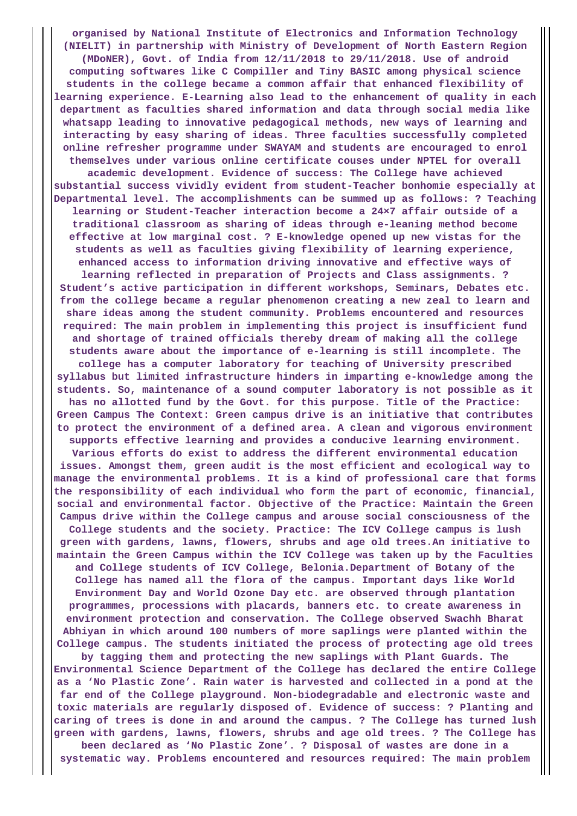**organised by National Institute of Electronics and Information Technology (NIELIT) in partnership with Ministry of Development of North Eastern Region (MDoNER), Govt. of India from 12/11/2018 to 29/11/2018. Use of android computing softwares like C Compiller and Tiny BASIC among physical science students in the college became a common affair that enhanced flexibility of learning experience. E-Learning also lead to the enhancement of quality in each department as faculties shared information and data through social media like whatsapp leading to innovative pedagogical methods, new ways of learning and interacting by easy sharing of ideas. Three faculties successfully completed online refresher programme under SWAYAM and students are encouraged to enrol themselves under various online certificate couses under NPTEL for overall academic development. Evidence of success: The College have achieved substantial success vividly evident from student-Teacher bonhomie especially at Departmental level. The accomplishments can be summed up as follows: ? Teaching learning or Student-Teacher interaction become a 24×7 affair outside of a traditional classroom as sharing of ideas through e-leaning method become effective at low marginal cost. ? E-knowledge opened up new vistas for the students as well as faculties giving flexibility of learning experience, enhanced access to information driving innovative and effective ways of learning reflected in preparation of Projects and Class assignments. ? Student's active participation in different workshops, Seminars, Debates etc. from the college became a regular phenomenon creating a new zeal to learn and share ideas among the student community. Problems encountered and resources required: The main problem in implementing this project is insufficient fund and shortage of trained officials thereby dream of making all the college students aware about the importance of e-learning is still incomplete. The college has a computer laboratory for teaching of University prescribed syllabus but limited infrastructure hinders in imparting e-knowledge among the students. So, maintenance of a sound computer laboratory is not possible as it has no allotted fund by the Govt. for this purpose. Title of the Practice: Green Campus The Context: Green campus drive is an initiative that contributes to protect the environment of a defined area. A clean and vigorous environment supports effective learning and provides a conducive learning environment. Various efforts do exist to address the different environmental education issues. Amongst them, green audit is the most efficient and ecological way to manage the environmental problems. It is a kind of professional care that forms the responsibility of each individual who form the part of economic, financial, social and environmental factor. Objective of the Practice: Maintain the Green Campus drive within the College campus and arouse social consciousness of the College students and the society. Practice: The ICV College campus is lush green with gardens, lawns, flowers, shrubs and age old trees.An initiative to maintain the Green Campus within the ICV College was taken up by the Faculties and College students of ICV College, Belonia.Department of Botany of the College has named all the flora of the campus. Important days like World Environment Day and World Ozone Day etc. are observed through plantation programmes, processions with placards, banners etc. to create awareness in environment protection and conservation. The College observed Swachh Bharat Abhiyan in which around 100 numbers of more saplings were planted within the College campus. The students initiated the process of protecting age old trees by tagging them and protecting the new saplings with Plant Guards. The Environmental Science Department of the College has declared the entire College as a 'No Plastic Zone'. Rain water is harvested and collected in a pond at the far end of the College playground. Non-biodegradable and electronic waste and toxic materials are regularly disposed of. Evidence of success: ? Planting and caring of trees is done in and around the campus. ? The College has turned lush green with gardens, lawns, flowers, shrubs and age old trees. ? The College has been declared as 'No Plastic Zone'. ? Disposal of wastes are done in a systematic way. Problems encountered and resources required: The main problem**